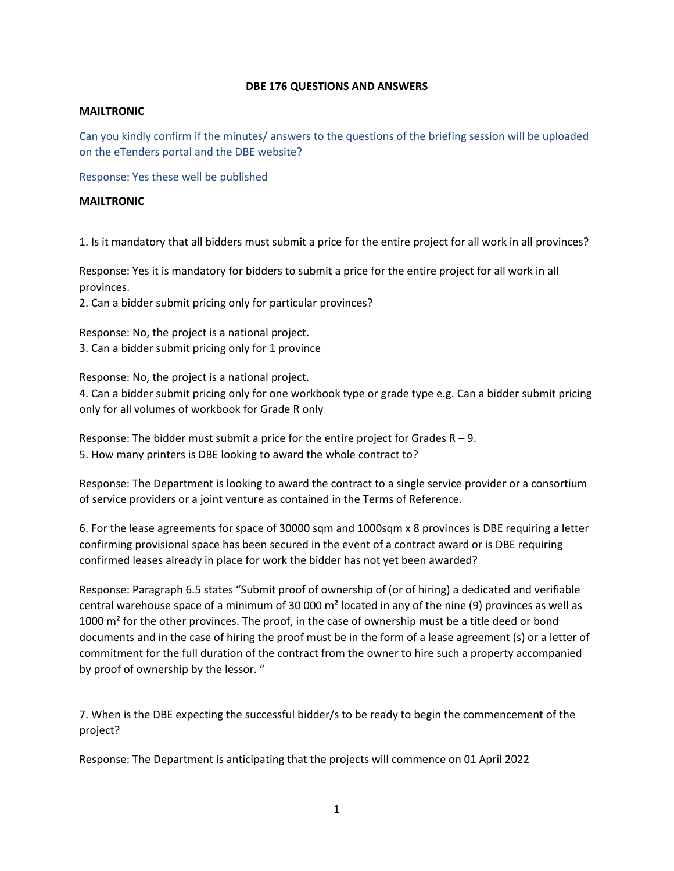### **DBE 176 QUESTIONS AND ANSWERS**

#### **MAILTRONIC**

Can you kindly confirm if the minutes/ answers to the questions of the briefing session will be uploaded on the eTenders portal and the DBE website?

Response: Yes these well be published

### **MAILTRONIC**

1. Is it mandatory that all bidders must submit a price for the entire project for all work in all provinces?

Response: Yes it is mandatory for bidders to submit a price for the entire project for all work in all provinces.

2. Can a bidder submit pricing only for particular provinces?

Response: No, the project is a national project. 3. Can a bidder submit pricing only for 1 province

Response: No, the project is a national project.

4. Can a bidder submit pricing only for one workbook type or grade type e.g. Can a bidder submit pricing only for all volumes of workbook for Grade R only

Response: The bidder must submit a price for the entire project for Grades  $R - 9$ . 5. How many printers is DBE looking to award the whole contract to?

Response: The Department is looking to award the contract to a single service provider or a consortium of service providers or a joint venture as contained in the Terms of Reference.

6. For the lease agreements for space of 30000 sqm and 1000sqm x 8 provinces is DBE requiring a letter confirming provisional space has been secured in the event of a contract award or is DBE requiring confirmed leases already in place for work the bidder has not yet been awarded?

Response: Paragraph 6.5 states "Submit proof of ownership of (or of hiring) a dedicated and verifiable central warehouse space of a minimum of 30 000 m² located in any of the nine (9) provinces as well as 1000 m<sup>2</sup> for the other provinces. The proof, in the case of ownership must be a title deed or bond documents and in the case of hiring the proof must be in the form of a lease agreement (s) or a letter of commitment for the full duration of the contract from the owner to hire such a property accompanied by proof of ownership by the lessor. "

7. When is the DBE expecting the successful bidder/s to be ready to begin the commencement of the project?

Response: The Department is anticipating that the projects will commence on 01 April 2022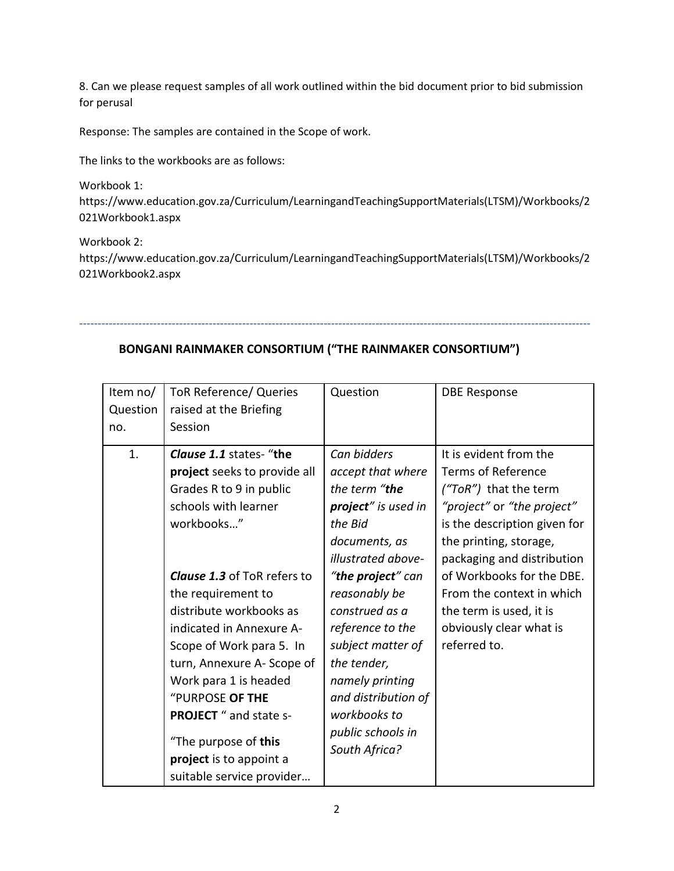8. Can we please request samples of all work outlined within the bid document prior to bid submission for perusal

Response: The samples are contained in the Scope of work.

The links to the workbooks are as follows:

Workbook 1:

[https://www.education.gov.za/Curriculum/LearningandTeachingSupportMaterials\(LTSM\)/Workbooks/2](https://www.education.gov.za/Curriculum/LearningandTeachingSupportMaterials(LTSM)/Workbooks/2021Workbook1.aspx) [021Workbook1.aspx](https://www.education.gov.za/Curriculum/LearningandTeachingSupportMaterials(LTSM)/Workbooks/2021Workbook1.aspx)

Workbook 2:

[https://www.education.gov.za/Curriculum/LearningandTeachingSupportMaterials\(LTSM\)/Workbooks/2](https://www.education.gov.za/Curriculum/LearningandTeachingSupportMaterials(LTSM)/Workbooks/2021Workbook2.aspx) [021Workbook2.aspx](https://www.education.gov.za/Curriculum/LearningandTeachingSupportMaterials(LTSM)/Workbooks/2021Workbook2.aspx)

------------------------------------------------------------------------------------------------------------------------------------------

# **BONGANI RAINMAKER CONSORTIUM ("THE RAINMAKER CONSORTIUM")**

| Item no/ | <b>ToR Reference/ Queries</b>      | Question                   | <b>DBE Response</b>          |
|----------|------------------------------------|----------------------------|------------------------------|
| Question | raised at the Briefing             |                            |                              |
| no.      | Session                            |                            |                              |
| 1.       | <b>Clause 1.1</b> states- "the     | Can bidders                | It is evident from the       |
|          | project seeks to provide all       | accept that where          | <b>Terms of Reference</b>    |
|          | Grades R to 9 in public            | the term "the              | $('ToR")$ that the term      |
|          | schools with learner               | project" is used in        | "project" or "the project"   |
|          | workbooks"                         | the Bid                    | is the description given for |
|          |                                    | documents, as              | the printing, storage,       |
|          |                                    | illustrated above-         | packaging and distribution   |
|          | <b>Clause 1.3</b> of ToR refers to | " <b>the project</b> " can | of Workbooks for the DBE.    |
|          | the requirement to                 | reasonably be              | From the context in which    |
|          | distribute workbooks as            | construed as a             | the term is used, it is      |
|          | indicated in Annexure A-           | reference to the           | obviously clear what is      |
|          | Scope of Work para 5. In           | subject matter of          | referred to.                 |
|          | turn, Annexure A-Scope of          | the tender,                |                              |
|          | Work para 1 is headed              | namely printing            |                              |
|          | "PURPOSE OF THE                    | and distribution of        |                              |
|          | <b>PROJECT</b> " and state s-      | workbooks to               |                              |
|          | "The purpose of this               | public schools in          |                              |
|          | project is to appoint a            | South Africa?              |                              |
|          | suitable service provider          |                            |                              |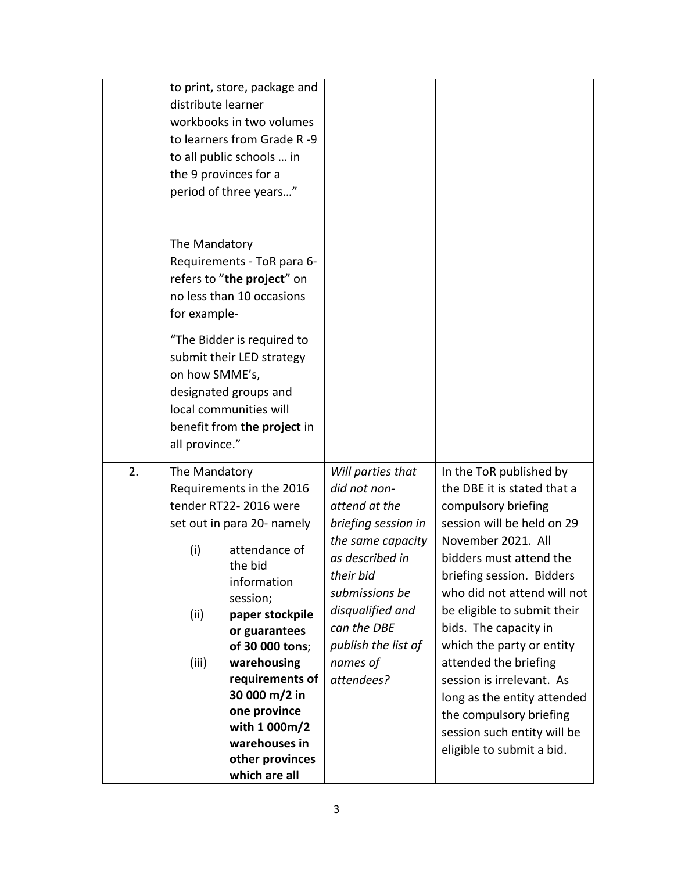|    | distribute learner                    | to print, store, package and<br>workbooks in two volumes<br>to learners from Grade R-9<br>to all public schools  in<br>the 9 provinces for a<br>period of three years"                                                                                                                                                |                                                                                                                                                                                                                                      |                                                                                                                                                                                                                                                                                                                                                                                                                                                                                           |
|----|---------------------------------------|-----------------------------------------------------------------------------------------------------------------------------------------------------------------------------------------------------------------------------------------------------------------------------------------------------------------------|--------------------------------------------------------------------------------------------------------------------------------------------------------------------------------------------------------------------------------------|-------------------------------------------------------------------------------------------------------------------------------------------------------------------------------------------------------------------------------------------------------------------------------------------------------------------------------------------------------------------------------------------------------------------------------------------------------------------------------------------|
|    | The Mandatory<br>for example-         | Requirements - ToR para 6-<br>refers to "the project" on<br>no less than 10 occasions                                                                                                                                                                                                                                 |                                                                                                                                                                                                                                      |                                                                                                                                                                                                                                                                                                                                                                                                                                                                                           |
|    | on how SMME's,<br>all province."      | "The Bidder is required to<br>submit their LED strategy<br>designated groups and<br>local communities will<br>benefit from the project in                                                                                                                                                                             |                                                                                                                                                                                                                                      |                                                                                                                                                                                                                                                                                                                                                                                                                                                                                           |
| 2. | The Mandatory<br>(i)<br>(ii)<br>(iii) | Requirements in the 2016<br>tender RT22-2016 were<br>set out in para 20- namely<br>attendance of<br>the bid<br>information<br>session;<br>paper stockpile<br>or guarantees<br>of 30 000 tons;<br>warehousing<br>requirements of<br>30 000 m/2 in<br>one province<br>with 1 000m/2<br>warehouses in<br>other provinces | Will parties that<br>did not non-<br>attend at the<br>briefing session in<br>the same capacity<br>as described in<br>their bid<br>submissions be<br>disqualified and<br>can the DBE<br>publish the list of<br>names of<br>attendees? | In the ToR published by<br>the DBE it is stated that a<br>compulsory briefing<br>session will be held on 29<br>November 2021. All<br>bidders must attend the<br>briefing session. Bidders<br>who did not attend will not<br>be eligible to submit their<br>bids. The capacity in<br>which the party or entity<br>attended the briefing<br>session is irrelevant. As<br>long as the entity attended<br>the compulsory briefing<br>session such entity will be<br>eligible to submit a bid. |
|    |                                       | which are all                                                                                                                                                                                                                                                                                                         |                                                                                                                                                                                                                                      |                                                                                                                                                                                                                                                                                                                                                                                                                                                                                           |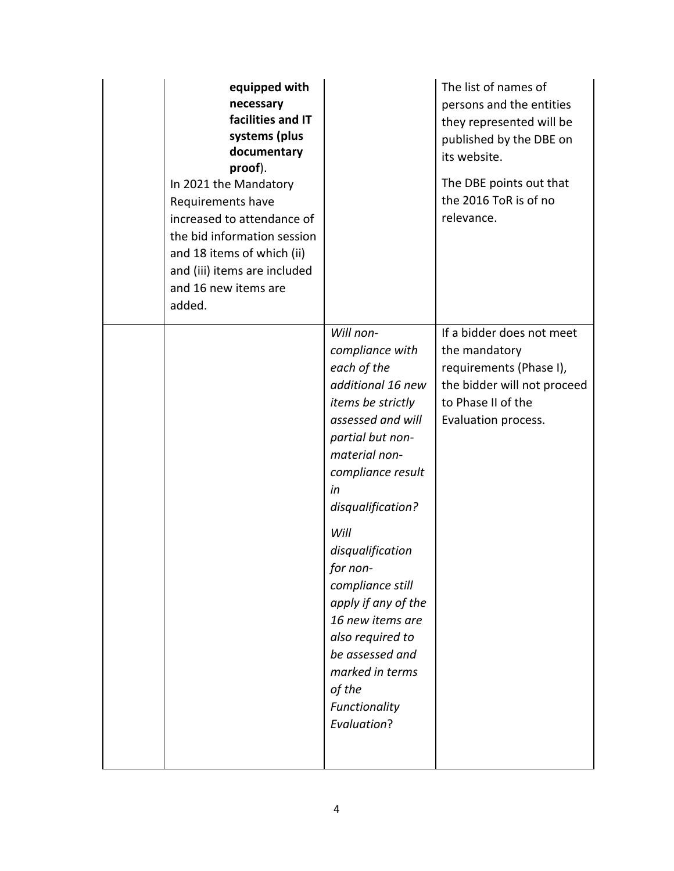| equipped with<br>necessary<br>facilities and IT<br>systems (plus<br>documentary<br>proof).<br>In 2021 the Mandatory<br>Requirements have<br>increased to attendance of<br>the bid information session<br>and 18 items of which (ii)<br>and (iii) items are included<br>and 16 new items are<br>added. |                                                                                                                                                                                                                                                                                                                                                                                                                   | The list of names of<br>persons and the entities<br>they represented will be<br>published by the DBE on<br>its website.<br>The DBE points out that<br>the 2016 ToR is of no<br>relevance. |
|-------------------------------------------------------------------------------------------------------------------------------------------------------------------------------------------------------------------------------------------------------------------------------------------------------|-------------------------------------------------------------------------------------------------------------------------------------------------------------------------------------------------------------------------------------------------------------------------------------------------------------------------------------------------------------------------------------------------------------------|-------------------------------------------------------------------------------------------------------------------------------------------------------------------------------------------|
|                                                                                                                                                                                                                                                                                                       | Will non-<br>compliance with<br>each of the<br>additional 16 new<br>items be strictly<br>assessed and will<br>partial but non-<br>material non-<br>compliance result<br>in<br>disqualification?<br>Will<br>disqualification<br>for non-<br>compliance still<br>apply if any of the<br>16 new items are<br>also required to<br>be assessed and<br>marked in terms<br>of the<br>Functionality<br><b>Evaluation?</b> | If a bidder does not meet<br>the mandatory<br>requirements (Phase I),<br>the bidder will not proceed<br>to Phase II of the<br>Evaluation process.                                         |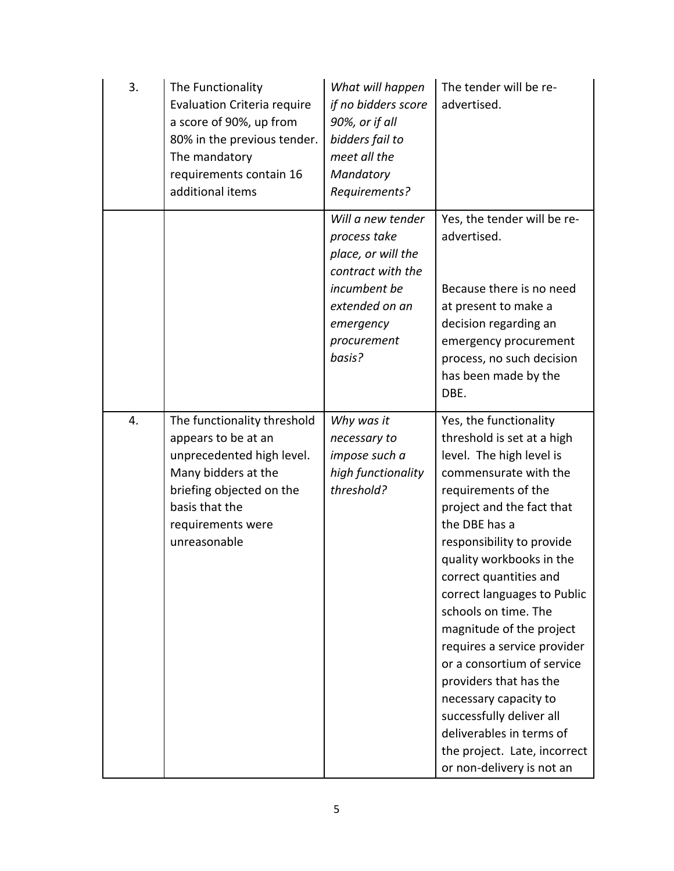| 3. | The Functionality<br>Evaluation Criteria require<br>a score of 90%, up from<br>80% in the previous tender.<br>The mandatory<br>requirements contain 16<br>additional items                | What will happen<br>if no bidders score<br>90%, or if all<br>bidders fail to<br>meet all the<br>Mandatory<br>Requirements?                           | The tender will be re-<br>advertised.                                                                                                                                                                                                                                                                                                                                                                                                                                                                                                                                                     |
|----|-------------------------------------------------------------------------------------------------------------------------------------------------------------------------------------------|------------------------------------------------------------------------------------------------------------------------------------------------------|-------------------------------------------------------------------------------------------------------------------------------------------------------------------------------------------------------------------------------------------------------------------------------------------------------------------------------------------------------------------------------------------------------------------------------------------------------------------------------------------------------------------------------------------------------------------------------------------|
|    |                                                                                                                                                                                           | Will a new tender<br>process take<br>place, or will the<br>contract with the<br>incumbent be<br>extended on an<br>emergency<br>procurement<br>basis? | Yes, the tender will be re-<br>advertised.<br>Because there is no need<br>at present to make a<br>decision regarding an<br>emergency procurement<br>process, no such decision<br>has been made by the<br>DBE.                                                                                                                                                                                                                                                                                                                                                                             |
| 4. | The functionality threshold<br>appears to be at an<br>unprecedented high level.<br>Many bidders at the<br>briefing objected on the<br>basis that the<br>requirements were<br>unreasonable | Why was it<br>necessary to<br>impose such a<br>high functionality<br>threshold?                                                                      | Yes, the functionality<br>threshold is set at a high<br>level. The high level is<br>commensurate with the<br>requirements of the<br>project and the fact that<br>the DBE has a<br>responsibility to provide<br>quality workbooks in the<br>correct quantities and<br>correct languages to Public<br>schools on time. The<br>magnitude of the project<br>requires a service provider<br>or a consortium of service<br>providers that has the<br>necessary capacity to<br>successfully deliver all<br>deliverables in terms of<br>the project. Late, incorrect<br>or non-delivery is not an |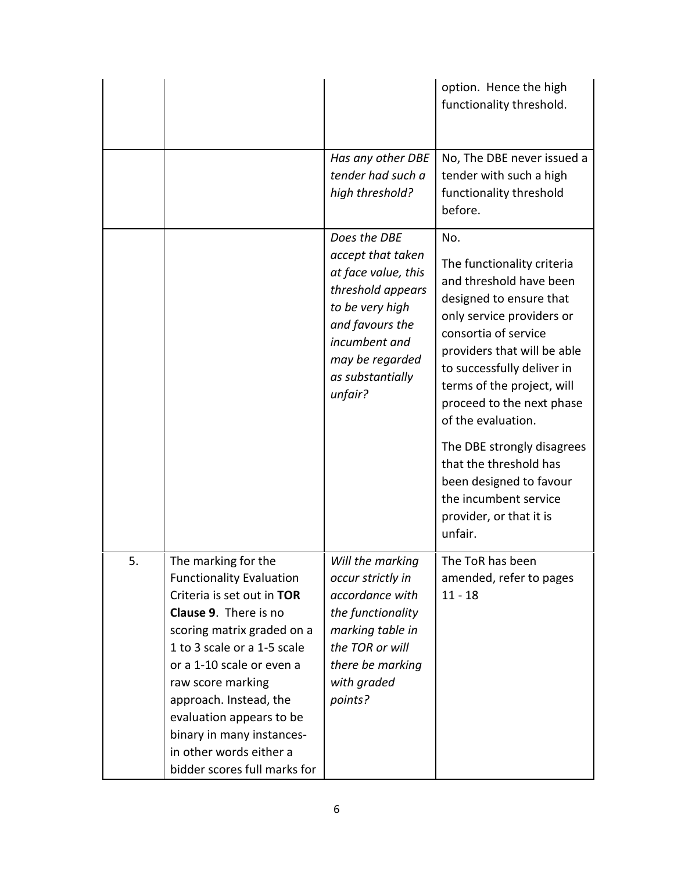|    |                                                                                                                                                                                                                                                                                                                                                                                   |                                                                                                                                                                                        | option. Hence the high<br>functionality threshold.                                                                                                                                                                                                                                         |
|----|-----------------------------------------------------------------------------------------------------------------------------------------------------------------------------------------------------------------------------------------------------------------------------------------------------------------------------------------------------------------------------------|----------------------------------------------------------------------------------------------------------------------------------------------------------------------------------------|--------------------------------------------------------------------------------------------------------------------------------------------------------------------------------------------------------------------------------------------------------------------------------------------|
|    |                                                                                                                                                                                                                                                                                                                                                                                   | Has any other DBE<br>tender had such a<br>high threshold?                                                                                                                              | No, The DBE never issued a<br>tender with such a high<br>functionality threshold<br>before.                                                                                                                                                                                                |
|    |                                                                                                                                                                                                                                                                                                                                                                                   | Does the DBE<br>accept that taken<br>at face value, this<br>threshold appears<br>to be very high<br>and favours the<br>incumbent and<br>may be regarded<br>as substantially<br>unfair? | No.<br>The functionality criteria<br>and threshold have been<br>designed to ensure that<br>only service providers or<br>consortia of service<br>providers that will be able<br>to successfully deliver in<br>terms of the project, will<br>proceed to the next phase<br>of the evaluation. |
|    |                                                                                                                                                                                                                                                                                                                                                                                   |                                                                                                                                                                                        | The DBE strongly disagrees<br>that the threshold has<br>been designed to favour<br>the incumbent service<br>provider, or that it is<br>unfair.                                                                                                                                             |
| 5. | The marking for the<br><b>Functionality Evaluation</b><br>Criteria is set out in TOR<br><b>Clause 9. There is no</b><br>scoring matrix graded on a<br>1 to 3 scale or a 1-5 scale<br>or a 1-10 scale or even a<br>raw score marking<br>approach. Instead, the<br>evaluation appears to be<br>binary in many instances-<br>in other words either a<br>bidder scores full marks for | Will the marking<br>occur strictly in<br>accordance with<br>the functionality<br>marking table in<br>the TOR or will<br>there be marking<br>with graded<br>points?                     | The ToR has been<br>amended, refer to pages<br>$11 - 18$                                                                                                                                                                                                                                   |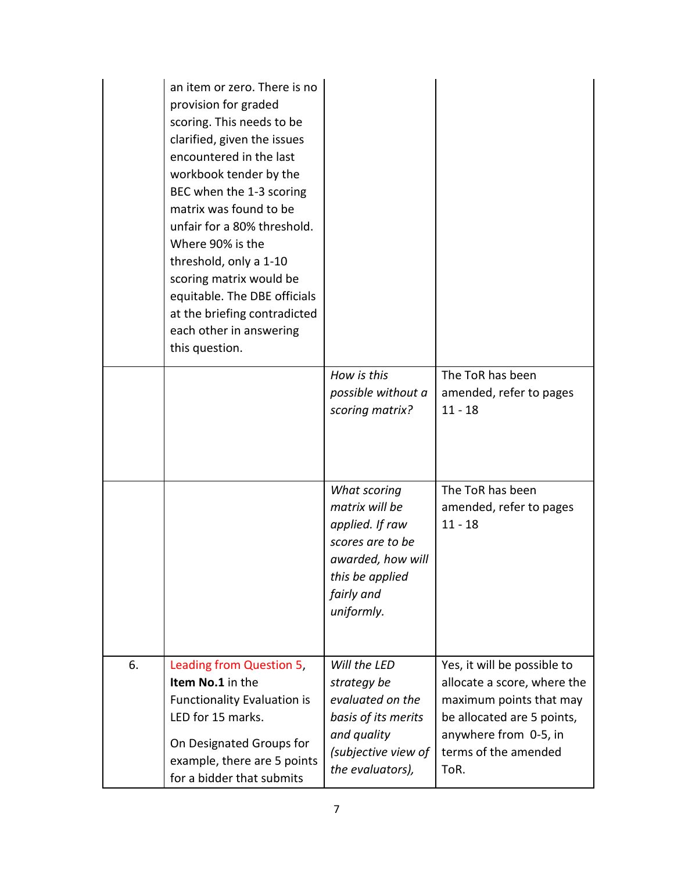|    | an item or zero. There is no<br>provision for graded<br>scoring. This needs to be<br>clarified, given the issues<br>encountered in the last<br>workbook tender by the<br>BEC when the 1-3 scoring<br>matrix was found to be<br>unfair for a 80% threshold.<br>Where 90% is the<br>threshold, only a 1-10<br>scoring matrix would be<br>equitable. The DBE officials<br>at the briefing contradicted<br>each other in answering<br>this question. |                                                                                                                                           |                                                                                                                                                                              |
|----|--------------------------------------------------------------------------------------------------------------------------------------------------------------------------------------------------------------------------------------------------------------------------------------------------------------------------------------------------------------------------------------------------------------------------------------------------|-------------------------------------------------------------------------------------------------------------------------------------------|------------------------------------------------------------------------------------------------------------------------------------------------------------------------------|
|    |                                                                                                                                                                                                                                                                                                                                                                                                                                                  | How is this<br>possible without a<br>scoring matrix?                                                                                      | The ToR has been<br>amended, refer to pages<br>$11 - 18$                                                                                                                     |
|    |                                                                                                                                                                                                                                                                                                                                                                                                                                                  | What scoring<br>matrix will be<br>applied. If raw<br>scores are to be<br>awarded, how will<br>this be applied<br>fairly and<br>uniformly. | The ToR has been<br>amended, refer to pages<br>$11 - 18$                                                                                                                     |
| 6. | Leading from Question 5,<br>Item No.1 in the<br><b>Functionality Evaluation is</b><br>LED for 15 marks.<br>On Designated Groups for<br>example, there are 5 points<br>for a bidder that submits                                                                                                                                                                                                                                                  | Will the LED<br>strategy be<br>evaluated on the<br>basis of its merits<br>and quality<br>(subjective view of<br>the evaluators),          | Yes, it will be possible to<br>allocate a score, where the<br>maximum points that may<br>be allocated are 5 points,<br>anywhere from 0-5, in<br>terms of the amended<br>ToR. |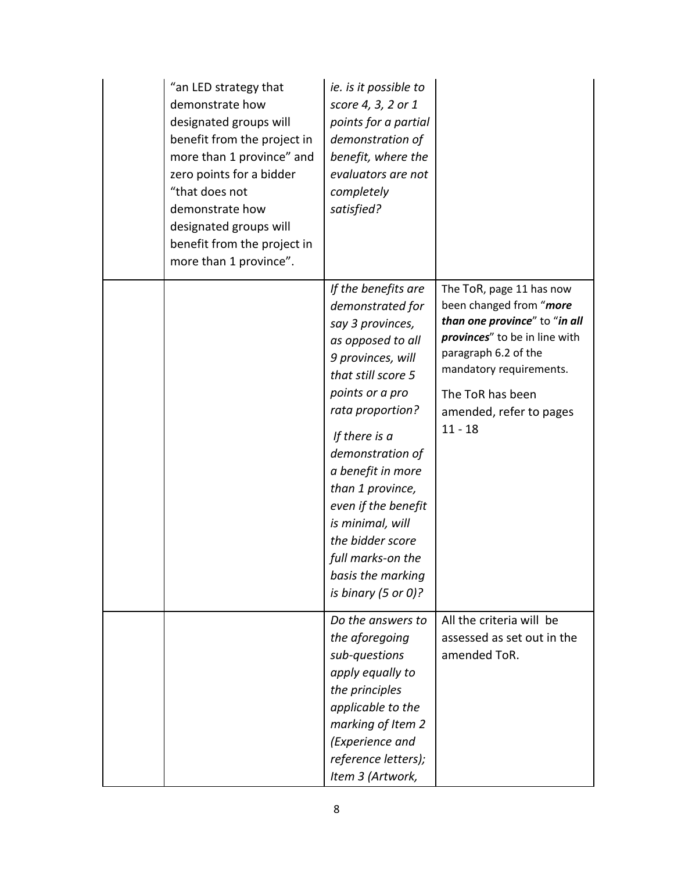| "an LED strategy that<br>demonstrate how<br>designated groups will<br>benefit from the project in<br>more than 1 province" and<br>zero points for a bidder<br>"that does not<br>demonstrate how<br>designated groups will<br>benefit from the project in<br>more than 1 province". | ie. is it possible to<br>score 4, 3, 2 or 1<br>points for a partial<br>demonstration of<br>benefit, where the<br>evaluators are not<br>completely<br>satisfied?                                                                                                                                                                                                                             |                                                                                                                                                                                                                                      |
|------------------------------------------------------------------------------------------------------------------------------------------------------------------------------------------------------------------------------------------------------------------------------------|---------------------------------------------------------------------------------------------------------------------------------------------------------------------------------------------------------------------------------------------------------------------------------------------------------------------------------------------------------------------------------------------|--------------------------------------------------------------------------------------------------------------------------------------------------------------------------------------------------------------------------------------|
|                                                                                                                                                                                                                                                                                    | If the benefits are<br>demonstrated for<br>say 3 provinces,<br>as opposed to all<br>9 provinces, will<br>that still score 5<br>points or a pro<br>rata proportion?<br>If there is a<br>demonstration of<br>a benefit in more<br>than 1 province,<br>even if the benefit<br>is minimal, will<br>the bidder score<br>full marks-on the<br>basis the marking<br>is binary $(5 \text{ or } 0)?$ | The ToR, page 11 has now<br>been changed from "more<br>than one province" to "in all<br>provinces" to be in line with<br>paragraph 6.2 of the<br>mandatory requirements.<br>The ToR has been<br>amended, refer to pages<br>$11 - 18$ |
|                                                                                                                                                                                                                                                                                    | Do the answers to<br>the aforegoing<br>sub-questions<br>apply equally to<br>the principles<br>applicable to the<br>marking of Item 2<br>(Experience and<br>reference letters);<br>Item 3 (Artwork,                                                                                                                                                                                          | All the criteria will be<br>assessed as set out in the<br>amended ToR.                                                                                                                                                               |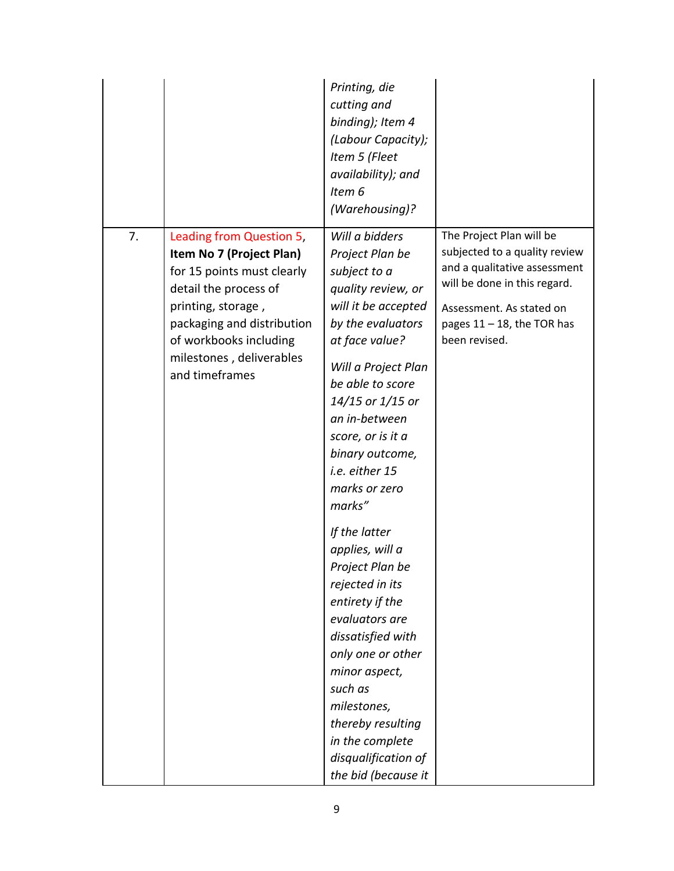|    |                                                                                                                                                                                                                                         | Printing, die<br>cutting and<br>binding); Item 4<br>(Labour Capacity);<br>Item 5 (Fleet<br>availability); and<br>Item 6<br>(Warehousing)?                                                                                                                                                                                                                                                                                                                                                                                                                                                            |                                                                                                                                                                                                         |
|----|-----------------------------------------------------------------------------------------------------------------------------------------------------------------------------------------------------------------------------------------|------------------------------------------------------------------------------------------------------------------------------------------------------------------------------------------------------------------------------------------------------------------------------------------------------------------------------------------------------------------------------------------------------------------------------------------------------------------------------------------------------------------------------------------------------------------------------------------------------|---------------------------------------------------------------------------------------------------------------------------------------------------------------------------------------------------------|
| 7. | Leading from Question 5,<br>Item No 7 (Project Plan)<br>for 15 points must clearly<br>detail the process of<br>printing, storage,<br>packaging and distribution<br>of workbooks including<br>milestones, deliverables<br>and timeframes | Will a bidders<br>Project Plan be<br>subject to a<br>quality review, or<br>will it be accepted<br>by the evaluators<br>at face value?<br>Will a Project Plan<br>be able to score<br>14/15 or 1/15 or<br>an in-between<br>score, or is it a<br>binary outcome,<br>i.e. either 15<br>marks or zero<br>marks"<br>If the latter<br>applies, will a<br>Project Plan be<br>rejected in its<br>entirety if the<br>evaluators are<br>dissatisfied with<br>only one or other<br>minor aspect,<br>such as<br>milestones,<br>thereby resulting<br>in the complete<br>disqualification of<br>the bid (because it | The Project Plan will be<br>subjected to a quality review<br>and a qualitative assessment<br>will be done in this regard.<br>Assessment. As stated on<br>pages $11 - 18$ , the TOR has<br>been revised. |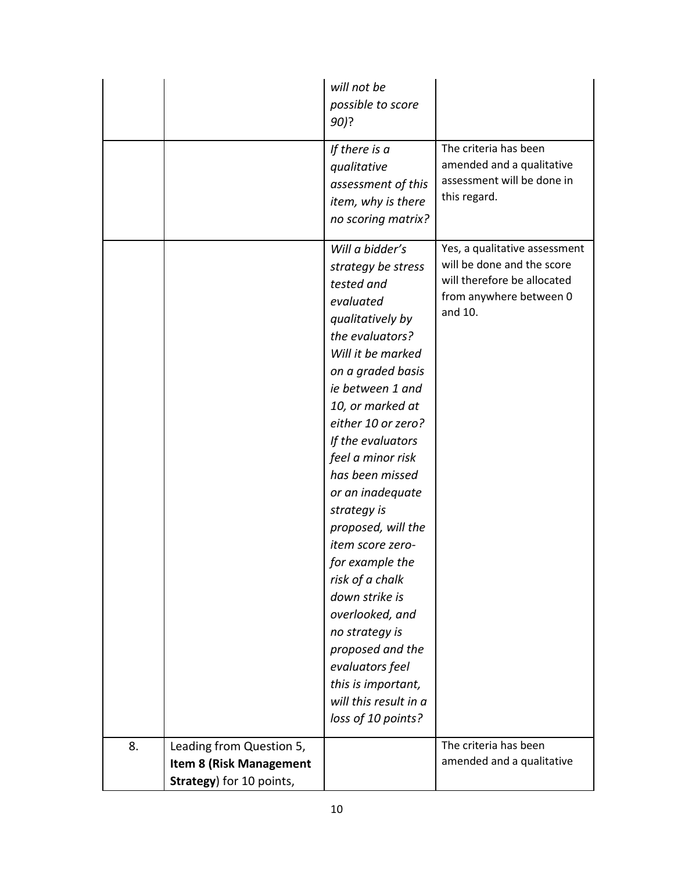|    |                                | will not be<br>possible to score<br>90)?                                                                                                                                                                                                                                                                                                                                                                                                                                                                                                                           |                                                                                                                                  |
|----|--------------------------------|--------------------------------------------------------------------------------------------------------------------------------------------------------------------------------------------------------------------------------------------------------------------------------------------------------------------------------------------------------------------------------------------------------------------------------------------------------------------------------------------------------------------------------------------------------------------|----------------------------------------------------------------------------------------------------------------------------------|
|    |                                | If there is a<br>qualitative<br>assessment of this<br>item, why is there<br>no scoring matrix?                                                                                                                                                                                                                                                                                                                                                                                                                                                                     | The criteria has been<br>amended and a qualitative<br>assessment will be done in<br>this regard.                                 |
|    |                                | Will a bidder's<br>strategy be stress<br>tested and<br>evaluated<br>qualitatively by<br>the evaluators?<br>Will it be marked<br>on a graded basis<br>ie between 1 and<br>10, or marked at<br>either 10 or zero?<br>If the evaluators<br>feel a minor risk<br>has been missed<br>or an inadequate<br>strategy is<br>proposed, will the<br>item score zero-<br>for example the<br>risk of a chalk<br>down strike is<br>overlooked, and<br>no strategy is<br>proposed and the<br>evaluators feel<br>this is important,<br>will this result in a<br>loss of 10 points? | Yes, a qualitative assessment<br>will be done and the score<br>will therefore be allocated<br>from anywhere between 0<br>and 10. |
| 8. | Leading from Question 5,       |                                                                                                                                                                                                                                                                                                                                                                                                                                                                                                                                                                    | The criteria has been                                                                                                            |
|    | <b>Item 8 (Risk Management</b> |                                                                                                                                                                                                                                                                                                                                                                                                                                                                                                                                                                    | amended and a qualitative                                                                                                        |
|    | Strategy) for 10 points,       |                                                                                                                                                                                                                                                                                                                                                                                                                                                                                                                                                                    |                                                                                                                                  |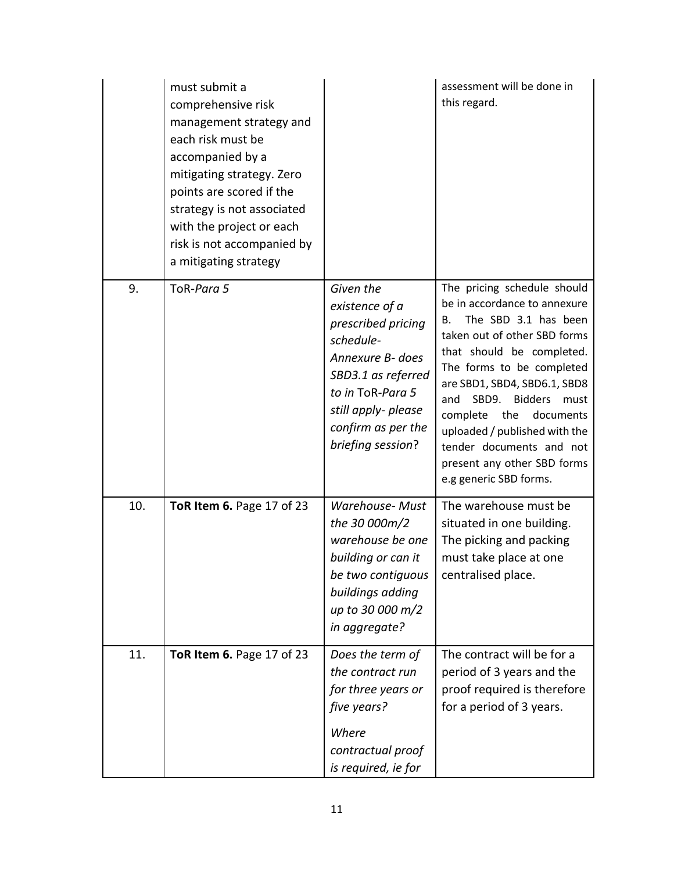|     | must submit a<br>comprehensive risk<br>management strategy and<br>each risk must be<br>accompanied by a<br>mitigating strategy. Zero<br>points are scored if the<br>strategy is not associated<br>with the project or each<br>risk is not accompanied by<br>a mitigating strategy |                                                                                                                                                                                                | assessment will be done in<br>this regard.                                                                                                                                                                                                                                                                                                                                                                |
|-----|-----------------------------------------------------------------------------------------------------------------------------------------------------------------------------------------------------------------------------------------------------------------------------------|------------------------------------------------------------------------------------------------------------------------------------------------------------------------------------------------|-----------------------------------------------------------------------------------------------------------------------------------------------------------------------------------------------------------------------------------------------------------------------------------------------------------------------------------------------------------------------------------------------------------|
| 9.  | ToR-Para 5                                                                                                                                                                                                                                                                        | Given the<br>existence of a<br>prescribed pricing<br>schedule-<br>Annexure B- does<br>SBD3.1 as referred<br>to in ToR-Para 5<br>still apply- please<br>confirm as per the<br>briefing session? | The pricing schedule should<br>be in accordance to annexure<br>The SBD 3.1 has been<br>В.<br>taken out of other SBD forms<br>that should be completed.<br>The forms to be completed<br>are SBD1, SBD4, SBD6.1, SBD8<br>SBD9.<br>Bidders must<br>and<br>complete<br>the<br>documents<br>uploaded / published with the<br>tender documents and not<br>present any other SBD forms<br>e.g generic SBD forms. |
| 10. | ToR Item 6. Page 17 of 23                                                                                                                                                                                                                                                         | <b>Warehouse- Must</b><br>the 30 000m/2<br>warehouse be one<br>building or can it<br>be two contiguous<br>buildings adding<br>up to 30 000 m/2<br>in aggregate?                                | The warehouse must be<br>situated in one building.<br>The picking and packing<br>must take place at one<br>centralised place.                                                                                                                                                                                                                                                                             |
| 11. | ToR Item 6. Page 17 of 23                                                                                                                                                                                                                                                         | Does the term of<br>the contract run<br>for three years or<br>five years?<br>Where<br>contractual proof<br>is required, ie for                                                                 | The contract will be for a<br>period of 3 years and the<br>proof required is therefore<br>for a period of 3 years.                                                                                                                                                                                                                                                                                        |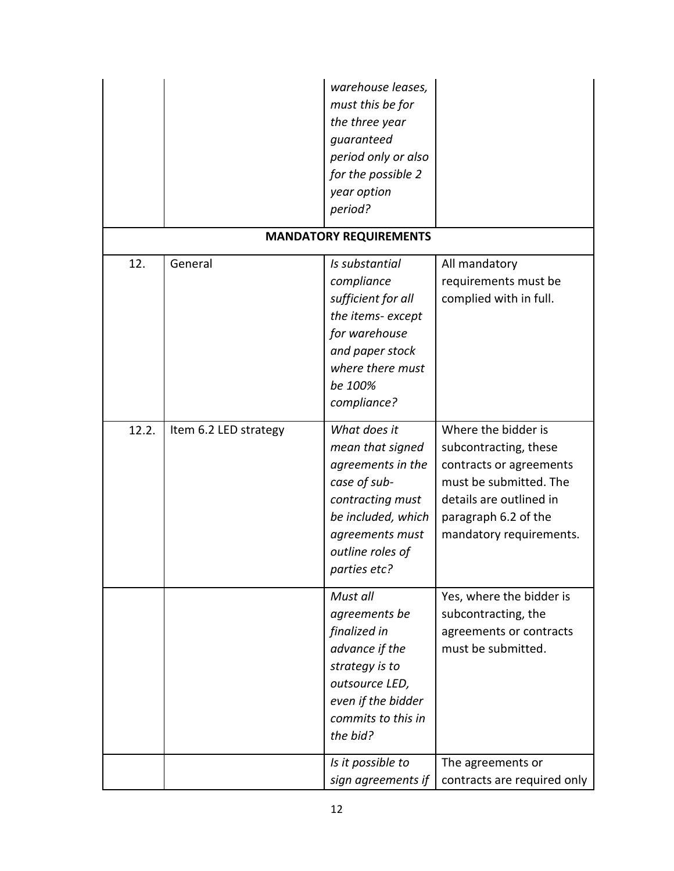|       |                       | warehouse leases,<br>must this be for<br>the three year<br>guaranteed<br>period only or also<br>for the possible 2<br>year option<br>period?                           |                                                                                                                                                                                 |
|-------|-----------------------|------------------------------------------------------------------------------------------------------------------------------------------------------------------------|---------------------------------------------------------------------------------------------------------------------------------------------------------------------------------|
|       |                       | <b>MANDATORY REQUIREMENTS</b>                                                                                                                                          |                                                                                                                                                                                 |
| 12.   | General               | Is substantial<br>compliance<br>sufficient for all<br>the items-except<br>for warehouse<br>and paper stock<br>where there must<br>be 100%<br>compliance?               | All mandatory<br>requirements must be<br>complied with in full.                                                                                                                 |
| 12.2. | Item 6.2 LED strategy | What does it<br>mean that signed<br>agreements in the<br>case of sub-<br>contracting must<br>be included, which<br>agreements must<br>outline roles of<br>parties etc? | Where the bidder is<br>subcontracting, these<br>contracts or agreements<br>must be submitted. The<br>details are outlined in<br>paragraph 6.2 of the<br>mandatory requirements. |
|       |                       | Must all<br>agreements be<br>finalized in<br>advance if the<br>strategy is to<br>outsource LED,<br>even if the bidder<br>commits to this in<br>the bid?                | Yes, where the bidder is<br>subcontracting, the<br>agreements or contracts<br>must be submitted.                                                                                |
|       |                       | Is it possible to<br>sign agreements if                                                                                                                                | The agreements or<br>contracts are required only                                                                                                                                |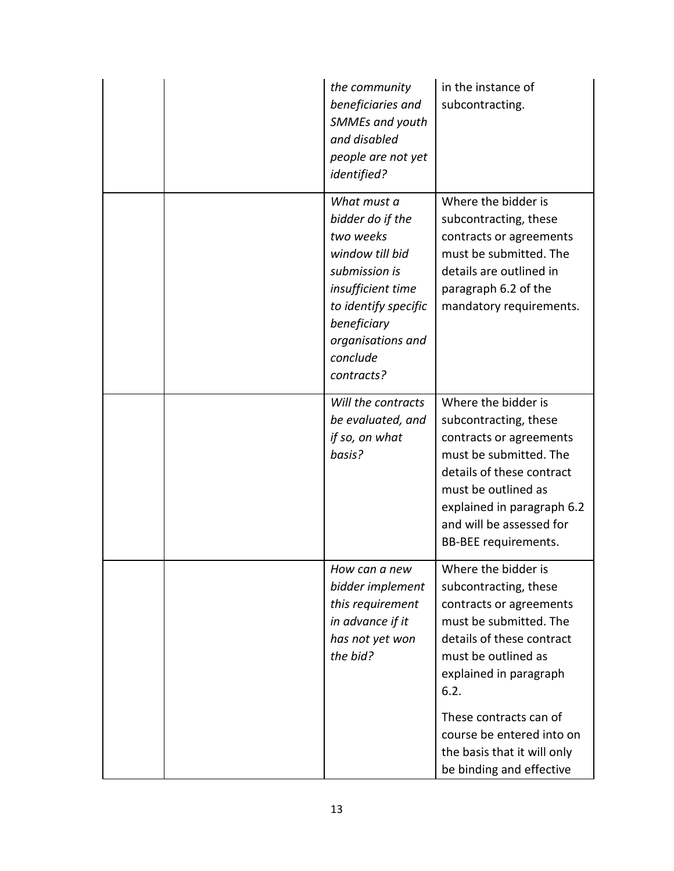| the community<br>beneficiaries and<br><b>SMMEs and youth</b><br>and disabled<br>people are not yet<br><i>identified?</i>                                                                    | in the instance of<br>subcontracting.                                                                                                                                                                                                          |
|---------------------------------------------------------------------------------------------------------------------------------------------------------------------------------------------|------------------------------------------------------------------------------------------------------------------------------------------------------------------------------------------------------------------------------------------------|
| What must a<br>bidder do if the<br>two weeks<br>window till bid<br>submission is<br>insufficient time<br>to identify specific<br>beneficiary<br>organisations and<br>conclude<br>contracts? | Where the bidder is<br>subcontracting, these<br>contracts or agreements<br>must be submitted. The<br>details are outlined in<br>paragraph 6.2 of the<br>mandatory requirements.                                                                |
| Will the contracts<br>be evaluated, and<br>if so, on what<br>basis?                                                                                                                         | Where the bidder is<br>subcontracting, these<br>contracts or agreements<br>must be submitted. The<br>details of these contract<br>must be outlined as<br>explained in paragraph 6.2<br>and will be assessed for<br><b>BB-BEE requirements.</b> |
| How can a new<br>bidder implement<br>this requirement<br>in advance if it<br>has not yet won<br>the bid?                                                                                    | Where the bidder is<br>subcontracting, these<br>contracts or agreements<br>must be submitted. The<br>details of these contract<br>must be outlined as<br>explained in paragraph<br>6.2.<br>These contracts can of                              |
|                                                                                                                                                                                             | course be entered into on<br>the basis that it will only<br>be binding and effective                                                                                                                                                           |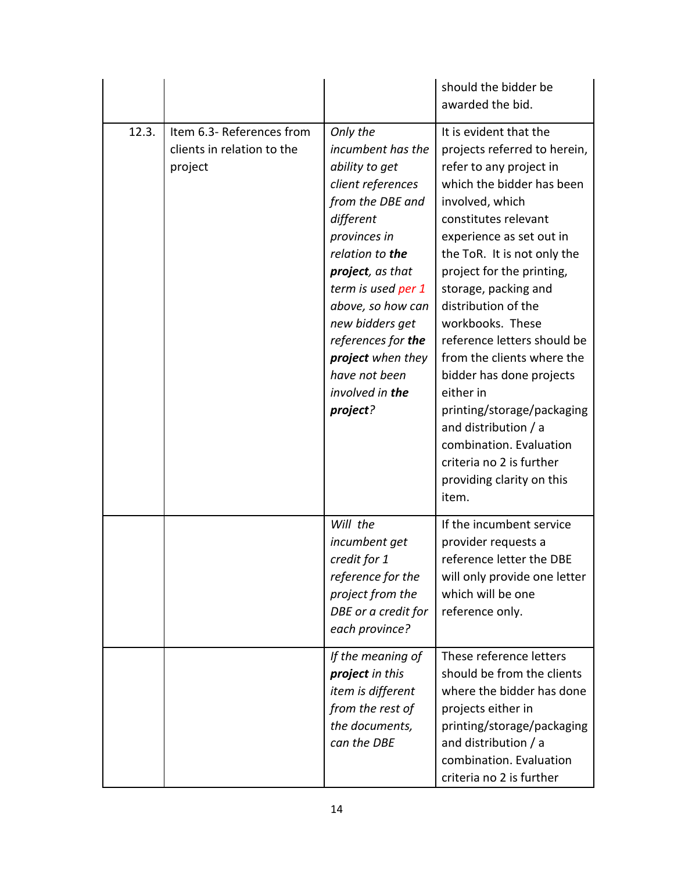|       |                                                                    |                                                                                                                                                                                                                                                                                                                       | should the bidder be<br>awarded the bid.                                                                                                                                                                                                                                                                                                                                                                                                                                                                                                                                      |
|-------|--------------------------------------------------------------------|-----------------------------------------------------------------------------------------------------------------------------------------------------------------------------------------------------------------------------------------------------------------------------------------------------------------------|-------------------------------------------------------------------------------------------------------------------------------------------------------------------------------------------------------------------------------------------------------------------------------------------------------------------------------------------------------------------------------------------------------------------------------------------------------------------------------------------------------------------------------------------------------------------------------|
| 12.3. | Item 6.3- References from<br>clients in relation to the<br>project | Only the<br>incumbent has the<br>ability to get<br>client references<br>from the DBE and<br>different<br>provinces in<br>relation to the<br>project, as that<br>term is used per 1<br>above, so how can<br>new bidders get<br>references for the<br>project when they<br>have not been<br>involved in the<br>project? | It is evident that the<br>projects referred to herein,<br>refer to any project in<br>which the bidder has been<br>involved, which<br>constitutes relevant<br>experience as set out in<br>the ToR. It is not only the<br>project for the printing,<br>storage, packing and<br>distribution of the<br>workbooks. These<br>reference letters should be<br>from the clients where the<br>bidder has done projects<br>either in<br>printing/storage/packaging<br>and distribution / a<br>combination. Evaluation<br>criteria no 2 is further<br>providing clarity on this<br>item. |
|       |                                                                    | Will the<br>incumbent get<br>credit for 1<br>reference for the<br>project from the<br>DBE or a credit for<br>each province?                                                                                                                                                                                           | If the incumbent service<br>provider requests a<br>reference letter the DBE<br>will only provide one letter<br>which will be one<br>reference only.                                                                                                                                                                                                                                                                                                                                                                                                                           |
|       |                                                                    | If the meaning of<br>project in this<br>item is different<br>from the rest of<br>the documents,<br>can the DBE                                                                                                                                                                                                        | These reference letters<br>should be from the clients<br>where the bidder has done<br>projects either in<br>printing/storage/packaging<br>and distribution / a<br>combination. Evaluation<br>criteria no 2 is further                                                                                                                                                                                                                                                                                                                                                         |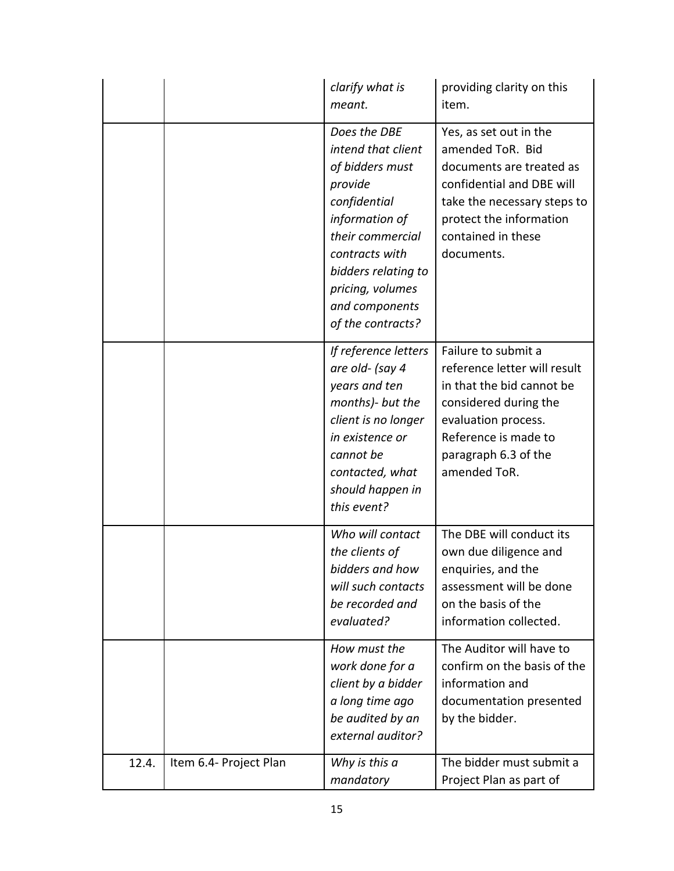|       |                        | clarify what is<br>meant.                                                                                                                                                                                                  | providing clarity on this<br>item.                                                                                                                                                                |
|-------|------------------------|----------------------------------------------------------------------------------------------------------------------------------------------------------------------------------------------------------------------------|---------------------------------------------------------------------------------------------------------------------------------------------------------------------------------------------------|
|       |                        | Does the DBE<br>intend that client<br>of bidders must<br>provide<br>confidential<br>information of<br>their commercial<br>contracts with<br>bidders relating to<br>pricing, volumes<br>and components<br>of the contracts? | Yes, as set out in the<br>amended ToR. Bid<br>documents are treated as<br>confidential and DBE will<br>take the necessary steps to<br>protect the information<br>contained in these<br>documents. |
|       |                        | If reference letters<br>are old- (say 4<br>years and ten<br>months)- but the<br>client is no longer<br>in existence or<br>cannot be<br>contacted, what<br>should happen in<br>this event?                                  | Failure to submit a<br>reference letter will result<br>in that the bid cannot be<br>considered during the<br>evaluation process.<br>Reference is made to<br>paragraph 6.3 of the<br>amended ToR.  |
|       |                        | Who will contact<br>the clients of<br>bidders and how<br>will such contacts<br>be recorded and<br>evaluated?                                                                                                               | The DBE will conduct its<br>own due diligence and<br>enquiries, and the<br>assessment will be done<br>on the basis of the<br>information collected.                                               |
|       |                        | How must the<br>work done for a<br>client by a bidder<br>a long time ago<br>be audited by an<br>external auditor?                                                                                                          | The Auditor will have to<br>confirm on the basis of the<br>information and<br>documentation presented<br>by the bidder.                                                                           |
| 12.4. | Item 6.4- Project Plan | Why is this a<br>mandatory                                                                                                                                                                                                 | The bidder must submit a<br>Project Plan as part of                                                                                                                                               |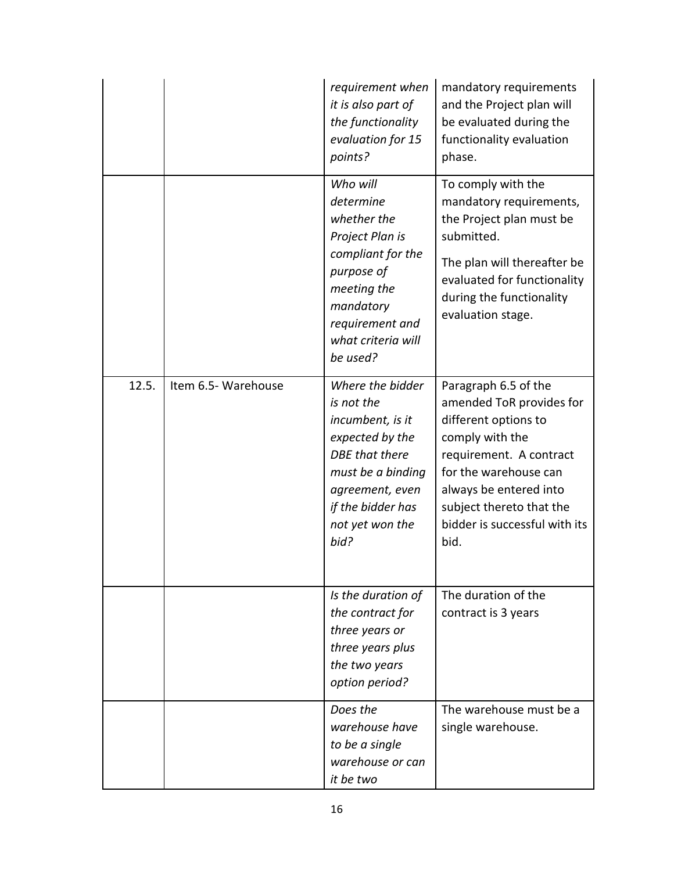|       |                     | requirement when<br>it is also part of<br>the functionality<br>evaluation for 15<br>points?                                                                                            | mandatory requirements<br>and the Project plan will<br>be evaluated during the<br>functionality evaluation<br>phase.                                                                                                                           |
|-------|---------------------|----------------------------------------------------------------------------------------------------------------------------------------------------------------------------------------|------------------------------------------------------------------------------------------------------------------------------------------------------------------------------------------------------------------------------------------------|
|       |                     | Who will<br>determine<br>whether the<br>Project Plan is<br>compliant for the<br>purpose of<br>meeting the<br>mandatory<br>requirement and<br>what criteria will<br>be used?            | To comply with the<br>mandatory requirements,<br>the Project plan must be<br>submitted.<br>The plan will thereafter be<br>evaluated for functionality<br>during the functionality<br>evaluation stage.                                         |
| 12.5. | Item 6.5- Warehouse | Where the bidder<br>is not the<br>incumbent, is it<br>expected by the<br><b>DBE</b> that there<br>must be a binding<br>agreement, even<br>if the bidder has<br>not yet won the<br>bid? | Paragraph 6.5 of the<br>amended ToR provides for<br>different options to<br>comply with the<br>requirement. A contract<br>for the warehouse can<br>always be entered into<br>subject thereto that the<br>bidder is successful with its<br>bid. |
|       |                     | Is the duration of<br>the contract for<br>three years or<br>three years plus<br>the two years<br>option period?                                                                        | The duration of the<br>contract is 3 years                                                                                                                                                                                                     |
|       |                     | Does the<br>warehouse have<br>to be a single<br>warehouse or can<br>it be two                                                                                                          | The warehouse must be a<br>single warehouse.                                                                                                                                                                                                   |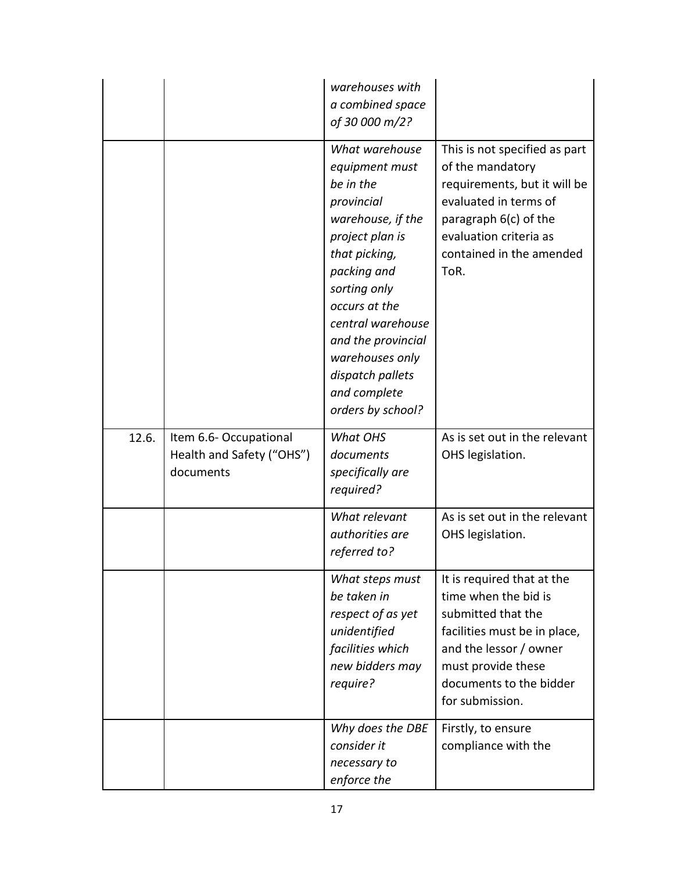|       |                                                                 | warehouses with<br>a combined space<br>of 30 000 m/2?                                                                                                                                                                                                                                       |                                                                                                                                                                                                        |
|-------|-----------------------------------------------------------------|---------------------------------------------------------------------------------------------------------------------------------------------------------------------------------------------------------------------------------------------------------------------------------------------|--------------------------------------------------------------------------------------------------------------------------------------------------------------------------------------------------------|
|       |                                                                 | What warehouse<br>equipment must<br>be in the<br>provincial<br>warehouse, if the<br>project plan is<br>that picking,<br>packing and<br>sorting only<br>occurs at the<br>central warehouse<br>and the provincial<br>warehouses only<br>dispatch pallets<br>and complete<br>orders by school? | This is not specified as part<br>of the mandatory<br>requirements, but it will be<br>evaluated in terms of<br>paragraph 6(c) of the<br>evaluation criteria as<br>contained in the amended<br>ToR.      |
| 12.6. | Item 6.6-Occupational<br>Health and Safety ("OHS")<br>documents | What OHS<br>documents<br>specifically are<br>required?                                                                                                                                                                                                                                      | As is set out in the relevant<br>OHS legislation.                                                                                                                                                      |
|       |                                                                 | What relevant<br>authorities are<br>referred to?                                                                                                                                                                                                                                            | As is set out in the relevant<br>OHS legislation.                                                                                                                                                      |
|       |                                                                 | What steps must<br>be taken in<br>respect of as yet<br>unidentified<br>facilities which<br>new bidders may<br>require?                                                                                                                                                                      | It is required that at the<br>time when the bid is<br>submitted that the<br>facilities must be in place,<br>and the lessor / owner<br>must provide these<br>documents to the bidder<br>for submission. |
|       |                                                                 | Why does the DBE<br>consider it<br>necessary to<br>enforce the                                                                                                                                                                                                                              | Firstly, to ensure<br>compliance with the                                                                                                                                                              |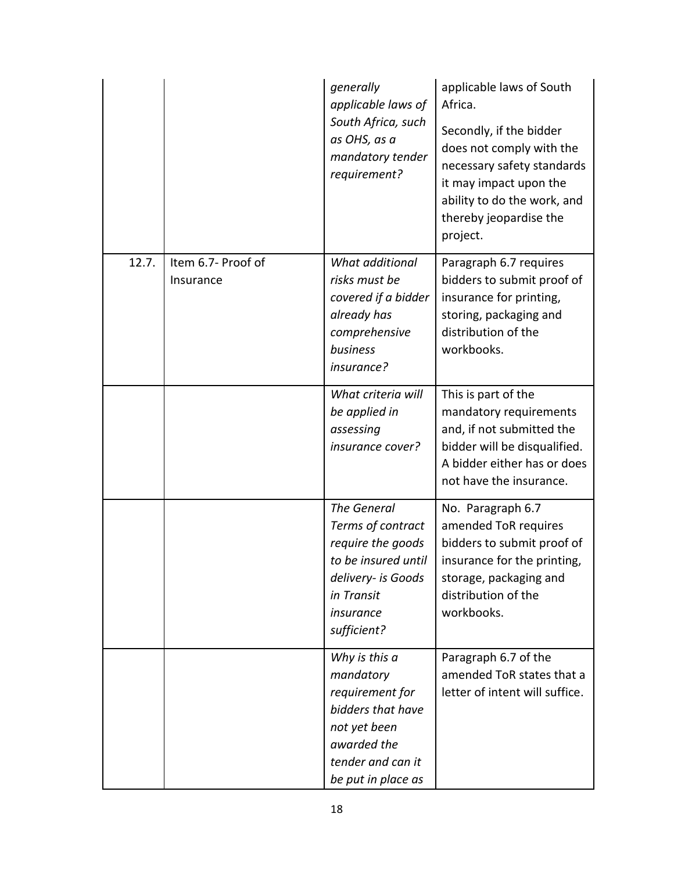|       |                                 | generally<br>applicable laws of<br>South Africa, such<br>as OHS, as a<br>mandatory tender<br>requirement?                                           | applicable laws of South<br>Africa.<br>Secondly, if the bidder<br>does not comply with the<br>necessary safety standards<br>it may impact upon the<br>ability to do the work, and<br>thereby jeopardise the<br>project. |
|-------|---------------------------------|-----------------------------------------------------------------------------------------------------------------------------------------------------|-------------------------------------------------------------------------------------------------------------------------------------------------------------------------------------------------------------------------|
| 12.7. | Item 6.7- Proof of<br>Insurance | What additional<br>risks must be<br>covered if a bidder<br>already has<br>comprehensive<br>business<br>insurance?                                   | Paragraph 6.7 requires<br>bidders to submit proof of<br>insurance for printing,<br>storing, packaging and<br>distribution of the<br>workbooks.                                                                          |
|       |                                 | What criteria will<br>be applied in<br>assessing<br>insurance cover?                                                                                | This is part of the<br>mandatory requirements<br>and, if not submitted the<br>bidder will be disqualified.<br>A bidder either has or does<br>not have the insurance.                                                    |
|       |                                 | <b>The General</b><br>Terms of contract<br>require the goods<br>to be insured until<br>delivery- is Goods<br>in Transit<br>insurance<br>sufficient? | No. Paragraph 6.7<br>amended ToR requires<br>bidders to submit proof of<br>insurance for the printing,<br>storage, packaging and<br>distribution of the<br>workbooks.                                                   |
|       |                                 | Why is this a<br>mandatory<br>requirement for<br>bidders that have<br>not yet been<br>awarded the<br>tender and can it<br>be put in place as        | Paragraph 6.7 of the<br>amended ToR states that a<br>letter of intent will suffice.                                                                                                                                     |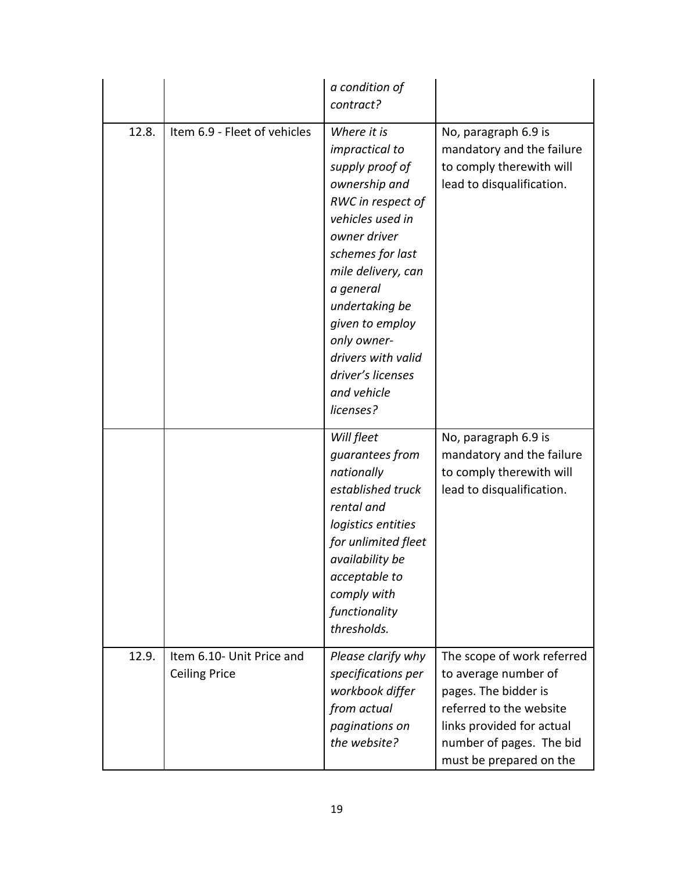|       |                                                   | a condition of<br>contract?                                                                                                                                                                                                                                                                                  |                                                                                                                                                                                           |
|-------|---------------------------------------------------|--------------------------------------------------------------------------------------------------------------------------------------------------------------------------------------------------------------------------------------------------------------------------------------------------------------|-------------------------------------------------------------------------------------------------------------------------------------------------------------------------------------------|
| 12.8. | Item 6.9 - Fleet of vehicles                      | Where it is<br>impractical to<br>supply proof of<br>ownership and<br>RWC in respect of<br>vehicles used in<br>owner driver<br>schemes for last<br>mile delivery, can<br>a general<br>undertaking be<br>given to employ<br>only owner-<br>drivers with valid<br>driver's licenses<br>and vehicle<br>licenses? | No, paragraph 6.9 is<br>mandatory and the failure<br>to comply therewith will<br>lead to disqualification.                                                                                |
|       |                                                   | Will fleet<br>guarantees from<br>nationally<br>established truck<br>rental and<br>logistics entities<br>for unlimited fleet<br>availability be<br>acceptable to<br>comply with<br>functionality<br>thresholds.                                                                                               | No, paragraph 6.9 is<br>mandatory and the failure<br>to comply therewith will<br>lead to disqualification.                                                                                |
| 12.9. | Item 6.10- Unit Price and<br><b>Ceiling Price</b> | Please clarify why<br>specifications per<br>workbook differ<br>from actual<br>paginations on<br>the website?                                                                                                                                                                                                 | The scope of work referred<br>to average number of<br>pages. The bidder is<br>referred to the website<br>links provided for actual<br>number of pages. The bid<br>must be prepared on the |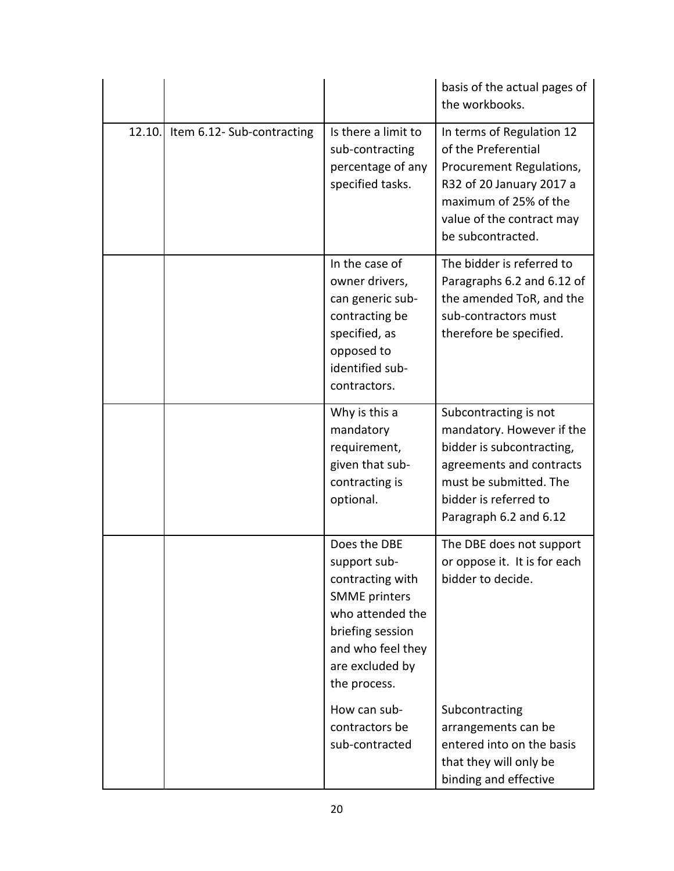|        |                           |                                                                                                                                                                          | basis of the actual pages of<br>the workbooks.                                                                                                                                           |
|--------|---------------------------|--------------------------------------------------------------------------------------------------------------------------------------------------------------------------|------------------------------------------------------------------------------------------------------------------------------------------------------------------------------------------|
| 12.10. | Item 6.12-Sub-contracting | Is there a limit to<br>sub-contracting<br>percentage of any<br>specified tasks.                                                                                          | In terms of Regulation 12<br>of the Preferential<br>Procurement Regulations,<br>R32 of 20 January 2017 a<br>maximum of 25% of the<br>value of the contract may<br>be subcontracted.      |
|        |                           | In the case of<br>owner drivers,<br>can generic sub-<br>contracting be<br>specified, as<br>opposed to<br>identified sub-<br>contractors.                                 | The bidder is referred to<br>Paragraphs 6.2 and 6.12 of<br>the amended ToR, and the<br>sub-contractors must<br>therefore be specified.                                                   |
|        |                           | Why is this a<br>mandatory<br>requirement,<br>given that sub-<br>contracting is<br>optional.                                                                             | Subcontracting is not<br>mandatory. However if the<br>bidder is subcontracting,<br>agreements and contracts<br>must be submitted. The<br>bidder is referred to<br>Paragraph 6.2 and 6.12 |
|        |                           | Does the DBE<br>support sub-<br>contracting with<br><b>SMME</b> printers<br>who attended the<br>briefing session<br>and who feel they<br>are excluded by<br>the process. | The DBE does not support<br>or oppose it. It is for each<br>bidder to decide.                                                                                                            |
|        |                           | How can sub-<br>contractors be<br>sub-contracted                                                                                                                         | Subcontracting<br>arrangements can be<br>entered into on the basis<br>that they will only be<br>binding and effective                                                                    |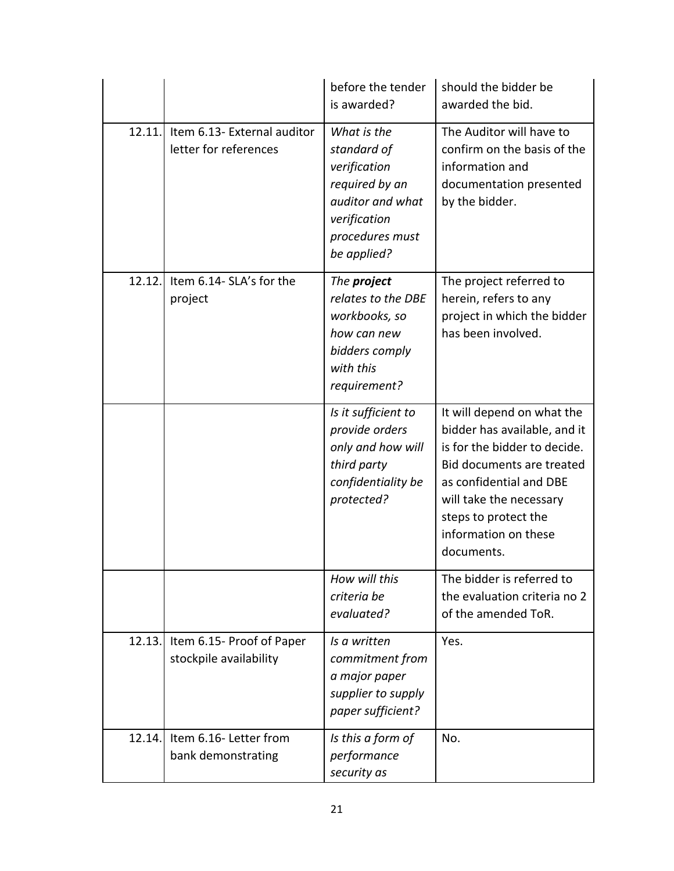|        |                                                      | before the tender<br>is awarded?                                                                                                   | should the bidder be<br>awarded the bid.                                                                                                                                                                                                    |
|--------|------------------------------------------------------|------------------------------------------------------------------------------------------------------------------------------------|---------------------------------------------------------------------------------------------------------------------------------------------------------------------------------------------------------------------------------------------|
| 12.11. | Item 6.13- External auditor<br>letter for references | What is the<br>standard of<br>verification<br>required by an<br>auditor and what<br>verification<br>procedures must<br>be applied? | The Auditor will have to<br>confirm on the basis of the<br>information and<br>documentation presented<br>by the bidder.                                                                                                                     |
| 12.12. | Item 6.14- SLA's for the<br>project                  | The project<br>relates to the DBE<br>workbooks, so<br>how can new<br>bidders comply<br>with this<br>requirement?                   | The project referred to<br>herein, refers to any<br>project in which the bidder<br>has been involved.                                                                                                                                       |
|        |                                                      | Is it sufficient to<br>provide orders<br>only and how will<br>third party<br>confidentiality be<br>protected?                      | It will depend on what the<br>bidder has available, and it<br>is for the bidder to decide.<br>Bid documents are treated<br>as confidential and DBE<br>will take the necessary<br>steps to protect the<br>information on these<br>documents. |
|        |                                                      | How will this<br>criteria be<br>evaluated?                                                                                         | The bidder is referred to<br>the evaluation criteria no 2<br>of the amended ToR.                                                                                                                                                            |
| 12.13. | Item 6.15- Proof of Paper<br>stockpile availability  | Is a written<br>commitment from<br>a major paper<br>supplier to supply<br>paper sufficient?                                        | Yes.                                                                                                                                                                                                                                        |
| 12.14. | Item 6.16- Letter from<br>bank demonstrating         | Is this a form of<br>performance<br>security as                                                                                    | No.                                                                                                                                                                                                                                         |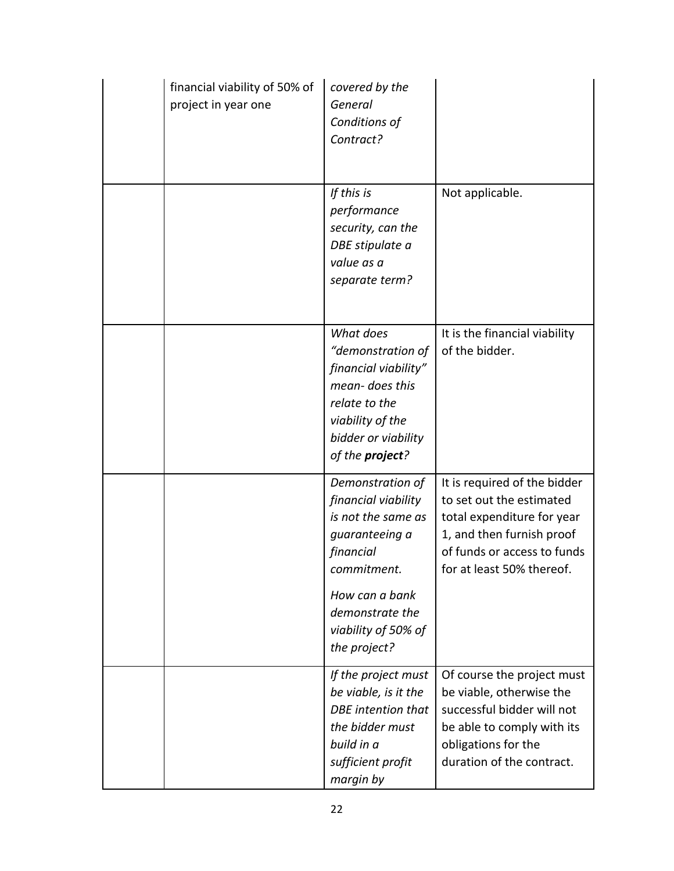| financial viability of 50% of<br>project in year one | covered by the<br>General<br>Conditions of<br>Contract?                                                                                                                                 |                                                                                                                                                                                 |
|------------------------------------------------------|-----------------------------------------------------------------------------------------------------------------------------------------------------------------------------------------|---------------------------------------------------------------------------------------------------------------------------------------------------------------------------------|
|                                                      | If this is<br>performance<br>security, can the<br>DBE stipulate a<br>value as a<br>separate term?                                                                                       | Not applicable.                                                                                                                                                                 |
|                                                      | What does<br>"demonstration of<br>financial viability"<br>mean-does this<br>relate to the<br>viability of the<br>bidder or viability<br>of the <b>project</b> ?                         | It is the financial viability<br>of the bidder.                                                                                                                                 |
|                                                      | Demonstration of<br>financial viability<br>is not the same as<br>guaranteeing a<br>financial<br>commitment.<br>How can a bank<br>demonstrate the<br>viability of 50% of<br>the project? | It is required of the bidder<br>to set out the estimated<br>total expenditure for year<br>1, and then furnish proof<br>of funds or access to funds<br>for at least 50% thereof. |
|                                                      | If the project must<br>be viable, is it the<br><b>DBE</b> intention that<br>the bidder must<br>build in a<br>sufficient profit<br>margin by                                             | Of course the project must<br>be viable, otherwise the<br>successful bidder will not<br>be able to comply with its<br>obligations for the<br>duration of the contract.          |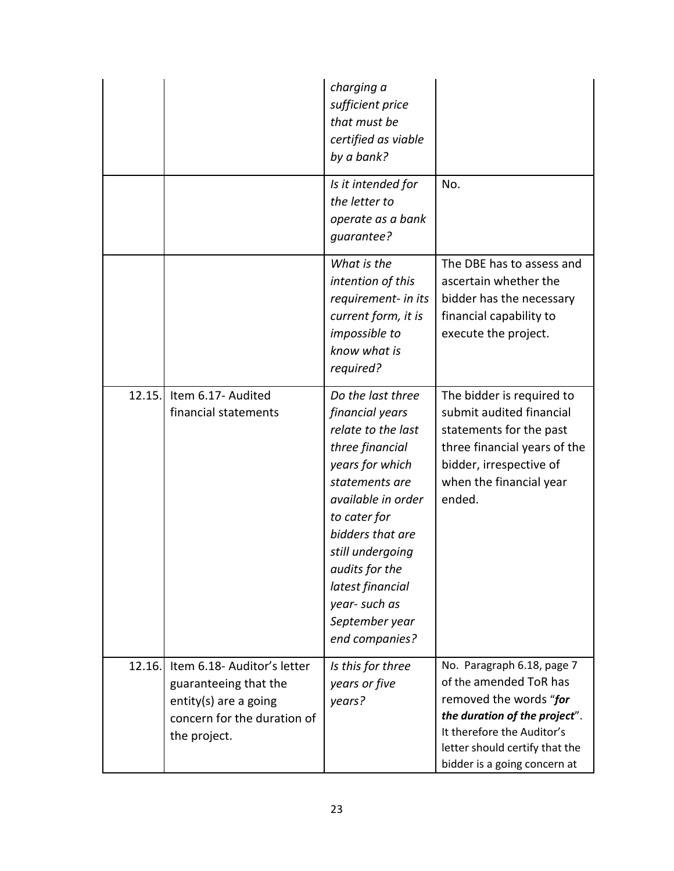|        |                                                                                                                              | charging a<br>sufficient price<br>that must be<br>certified as viable<br>by a bank?                                                                                                                                                                                                        |                                                                                                                                                                                                                 |
|--------|------------------------------------------------------------------------------------------------------------------------------|--------------------------------------------------------------------------------------------------------------------------------------------------------------------------------------------------------------------------------------------------------------------------------------------|-----------------------------------------------------------------------------------------------------------------------------------------------------------------------------------------------------------------|
|        |                                                                                                                              | Is it intended for<br>the letter to<br>operate as a bank<br>guarantee?                                                                                                                                                                                                                     | No.                                                                                                                                                                                                             |
|        |                                                                                                                              | What is the<br>intention of this<br>requirement- in its<br>current form, it is<br>impossible to<br>know what is<br>required?                                                                                                                                                               | The DBE has to assess and<br>ascertain whether the<br>bidder has the necessary<br>financial capability to<br>execute the project.                                                                               |
| 12.15. | Item 6.17- Audited<br>financial statements                                                                                   | Do the last three<br>financial years<br>relate to the last<br>three financial<br>years for which<br>statements are<br>available in order<br>to cater for<br>bidders that are<br>still undergoing<br>audits for the<br>latest financial<br>year-such as<br>September year<br>end companies? | The bidder is required to<br>submit audited financial<br>statements for the past<br>three financial years of the<br>bidder, irrespective of<br>when the financial year<br>ended.                                |
| 12.16. | Item 6.18- Auditor's letter<br>guaranteeing that the<br>entity(s) are a going<br>concern for the duration of<br>the project. | Is this for three<br>years or five<br>years?                                                                                                                                                                                                                                               | No. Paragraph 6.18, page 7<br>of the amended ToR has<br>removed the words "for<br>the duration of the project".<br>It therefore the Auditor's<br>letter should certify that the<br>bidder is a going concern at |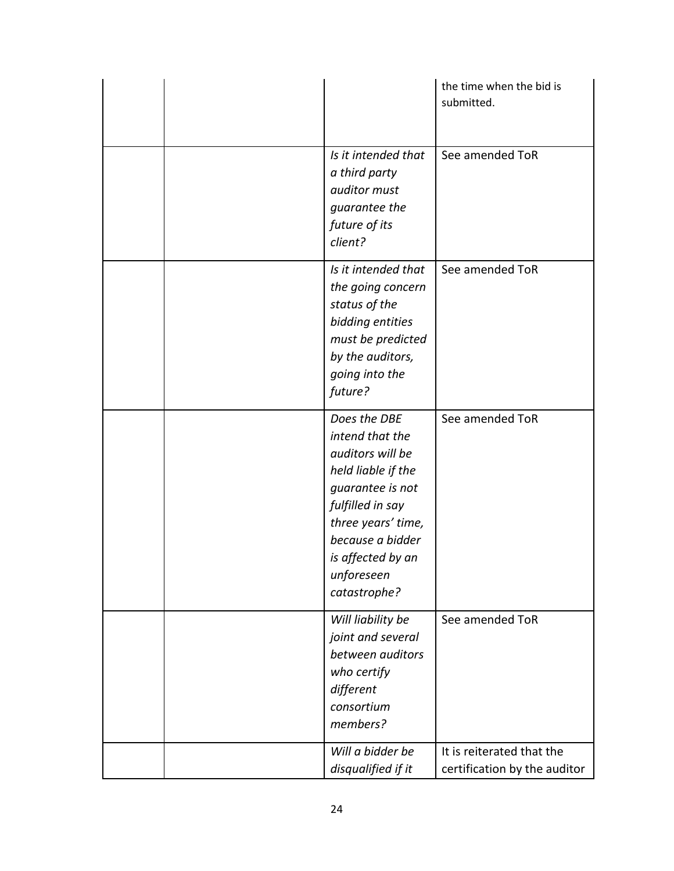|                                                                                                                                                                                                                | the time when the bid is<br>submitted.                    |
|----------------------------------------------------------------------------------------------------------------------------------------------------------------------------------------------------------------|-----------------------------------------------------------|
| Is it intended that<br>a third party<br>auditor must<br>guarantee the<br>future of its<br>client?                                                                                                              | See amended ToR                                           |
| Is it intended that<br>the going concern<br>status of the<br>bidding entities<br>must be predicted<br>by the auditors,<br>going into the<br>future?                                                            | See amended ToR                                           |
| Does the DBE<br>intend that the<br>auditors will be<br>held liable if the<br>guarantee is not<br>fulfilled in say<br>three years' time,<br>because a bidder<br>is affected by an<br>unforeseen<br>catastrophe? | See amended ToR                                           |
| Will liability be<br>joint and several<br>between auditors<br>who certify<br>different<br>consortium<br>members?                                                                                               | See amended ToR                                           |
| Will a bidder be<br>disqualified if it                                                                                                                                                                         | It is reiterated that the<br>certification by the auditor |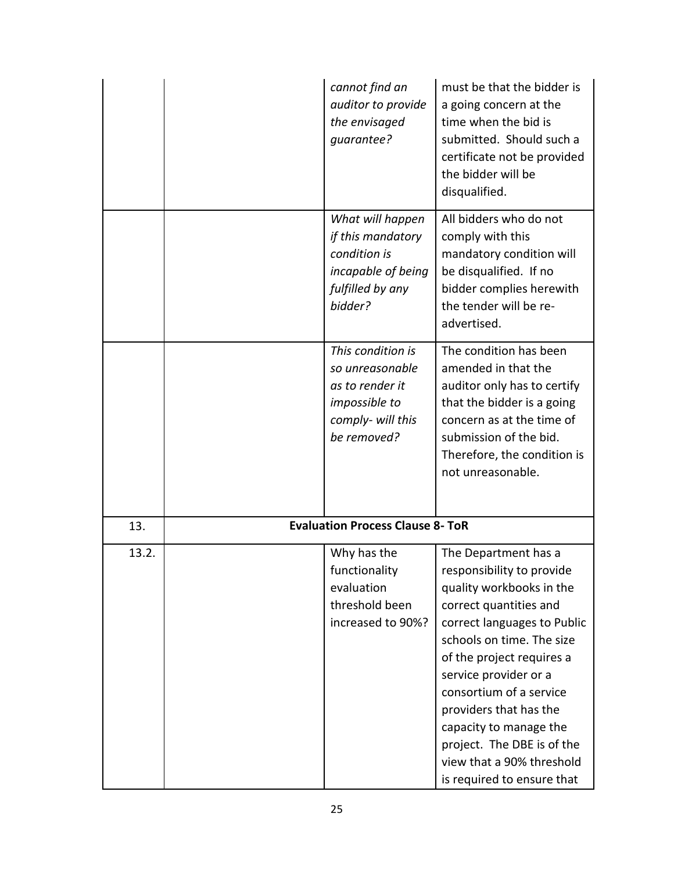|       | cannot find an<br>auditor to provide<br>the envisaged<br>guarantee?                                                 | must be that the bidder is<br>a going concern at the<br>time when the bid is<br>submitted. Should such a<br>certificate not be provided<br>the bidder will be<br>disqualified.                                                                                                                                                                                      |
|-------|---------------------------------------------------------------------------------------------------------------------|---------------------------------------------------------------------------------------------------------------------------------------------------------------------------------------------------------------------------------------------------------------------------------------------------------------------------------------------------------------------|
|       | What will happen<br>if this mandatory<br>condition is<br>incapable of being<br>fulfilled by any<br>bidder?          | All bidders who do not<br>comply with this<br>mandatory condition will<br>be disqualified. If no<br>bidder complies herewith<br>the tender will be re-<br>advertised.                                                                                                                                                                                               |
|       | This condition is<br>so unreasonable<br>as to render it<br><i>impossible to</i><br>comply- will this<br>be removed? | The condition has been<br>amended in that the<br>auditor only has to certify<br>that the bidder is a going<br>concern as at the time of<br>submission of the bid.<br>Therefore, the condition is<br>not unreasonable.                                                                                                                                               |
| 13.   | <b>Evaluation Process Clause 8- ToR</b>                                                                             |                                                                                                                                                                                                                                                                                                                                                                     |
| 13.2. | Why has the<br>functionality<br>evaluation<br>threshold been<br>increased to 90%?                                   | The Department has a<br>responsibility to provide<br>quality workbooks in the<br>correct quantities and<br>correct languages to Public<br>schools on time. The size<br>of the project requires a<br>service provider or a<br>consortium of a service<br>providers that has the<br>capacity to manage the<br>project. The DBE is of the<br>view that a 90% threshold |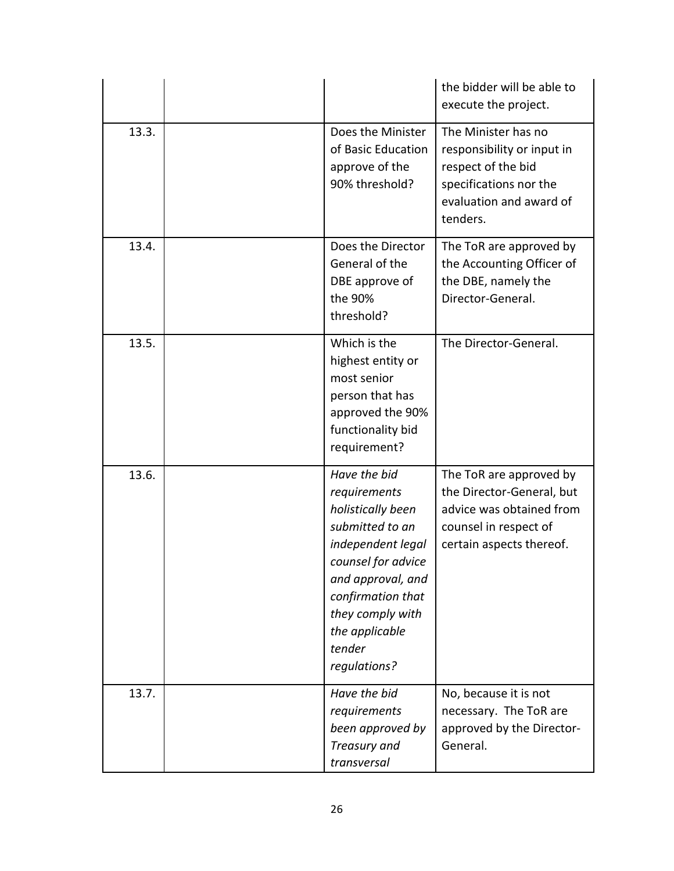|       |                                                                                                                                                                                                                           | the bidder will be able to<br>execute the project.                                                                                       |
|-------|---------------------------------------------------------------------------------------------------------------------------------------------------------------------------------------------------------------------------|------------------------------------------------------------------------------------------------------------------------------------------|
| 13.3. | Does the Minister<br>of Basic Education<br>approve of the<br>90% threshold?                                                                                                                                               | The Minister has no<br>responsibility or input in<br>respect of the bid<br>specifications nor the<br>evaluation and award of<br>tenders. |
| 13.4. | Does the Director<br>General of the<br>DBE approve of<br>the 90%<br>threshold?                                                                                                                                            | The ToR are approved by<br>the Accounting Officer of<br>the DBE, namely the<br>Director-General.                                         |
| 13.5. | Which is the<br>highest entity or<br>most senior<br>person that has<br>approved the 90%<br>functionality bid<br>requirement?                                                                                              | The Director-General.                                                                                                                    |
| 13.6. | Have the bid<br>requirements<br>holistically been<br>submitted to an<br>independent legal<br>counsel for advice<br>and approval, and<br>confirmation that<br>they comply with<br>the applicable<br>tender<br>regulations? | The ToR are approved by<br>the Director-General, but<br>advice was obtained from<br>counsel in respect of<br>certain aspects thereof.    |
| 13.7. | Have the bid<br>requirements<br>been approved by<br>Treasury and<br>transversal                                                                                                                                           | No, because it is not<br>necessary. The ToR are<br>approved by the Director-<br>General.                                                 |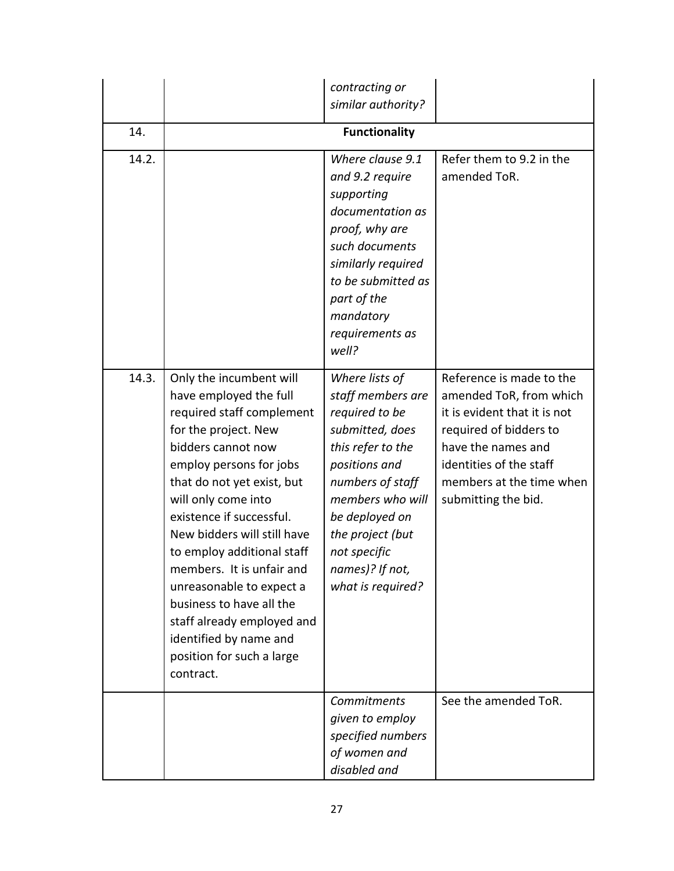|       |                                                                                                                                                                                                                                                                                                                                                                                                                                                                                              | contracting or<br>similar authority?                                                                                                                                                                                                                 |                                                                                                                                                                                                                   |  |  |
|-------|----------------------------------------------------------------------------------------------------------------------------------------------------------------------------------------------------------------------------------------------------------------------------------------------------------------------------------------------------------------------------------------------------------------------------------------------------------------------------------------------|------------------------------------------------------------------------------------------------------------------------------------------------------------------------------------------------------------------------------------------------------|-------------------------------------------------------------------------------------------------------------------------------------------------------------------------------------------------------------------|--|--|
|       |                                                                                                                                                                                                                                                                                                                                                                                                                                                                                              |                                                                                                                                                                                                                                                      |                                                                                                                                                                                                                   |  |  |
| 14.   | <b>Functionality</b>                                                                                                                                                                                                                                                                                                                                                                                                                                                                         |                                                                                                                                                                                                                                                      |                                                                                                                                                                                                                   |  |  |
| 14.2. |                                                                                                                                                                                                                                                                                                                                                                                                                                                                                              | Where clause 9.1<br>and 9.2 require<br>supporting<br>documentation as<br>proof, why are<br>such documents<br>similarly required<br>to be submitted as<br>part of the<br>mandatory<br>requirements as<br>well?                                        | Refer them to 9.2 in the<br>amended ToR.                                                                                                                                                                          |  |  |
| 14.3. | Only the incumbent will<br>have employed the full<br>required staff complement<br>for the project. New<br>bidders cannot now<br>employ persons for jobs<br>that do not yet exist, but<br>will only come into<br>existence if successful.<br>New bidders will still have<br>to employ additional staff<br>members. It is unfair and<br>unreasonable to expect a<br>business to have all the<br>staff already employed and<br>identified by name and<br>position for such a large<br>contract. | Where lists of<br>staff members are<br>required to be<br>submitted, does<br>this refer to the<br>positions and<br>numbers of staff<br>members who will<br>be deployed on<br>the project (but<br>not specific<br>names)? If not,<br>what is required? | Reference is made to the<br>amended ToR, from which<br>it is evident that it is not<br>required of bidders to<br>have the names and<br>identities of the staff<br>members at the time when<br>submitting the bid. |  |  |
|       |                                                                                                                                                                                                                                                                                                                                                                                                                                                                                              | <b>Commitments</b><br>given to employ<br>specified numbers<br>of women and<br>disabled and                                                                                                                                                           | See the amended ToR.                                                                                                                                                                                              |  |  |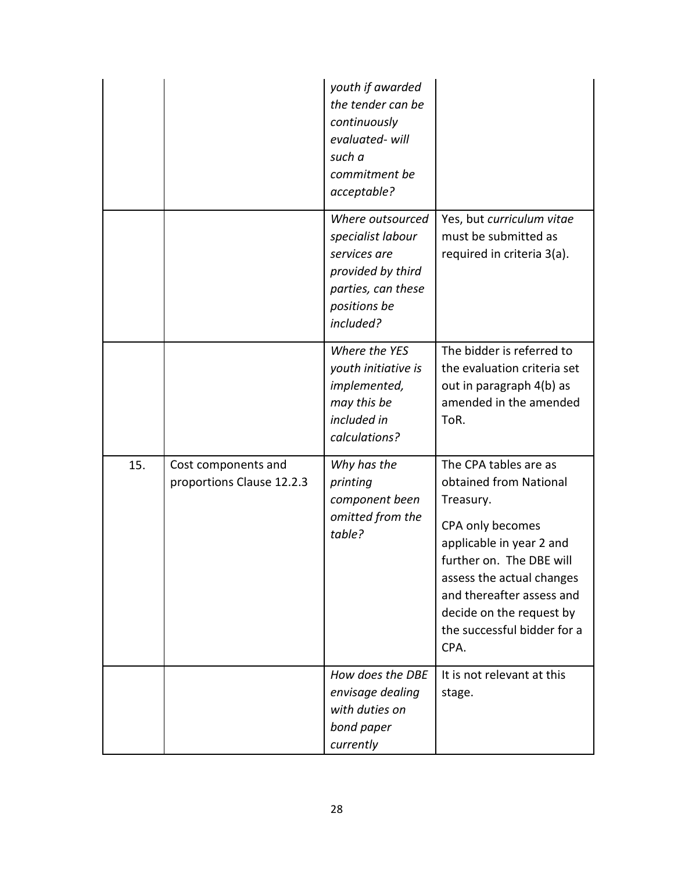|     |                                                  | youth if awarded<br>the tender can be<br>continuously<br>evaluated-will<br>such a<br>commitment be<br>acceptable?             |                                                                                                                                                                                                                                                                       |
|-----|--------------------------------------------------|-------------------------------------------------------------------------------------------------------------------------------|-----------------------------------------------------------------------------------------------------------------------------------------------------------------------------------------------------------------------------------------------------------------------|
|     |                                                  | Where outsourced<br>specialist labour<br>services are<br>provided by third<br>parties, can these<br>positions be<br>included? | Yes, but curriculum vitae<br>must be submitted as<br>required in criteria 3(a).                                                                                                                                                                                       |
|     |                                                  | Where the YES<br>youth initiative is<br>implemented,<br>may this be<br>included in<br>calculations?                           | The bidder is referred to<br>the evaluation criteria set<br>out in paragraph 4(b) as<br>amended in the amended<br>ToR.                                                                                                                                                |
| 15. | Cost components and<br>proportions Clause 12.2.3 | Why has the<br>printing<br>component been<br>omitted from the<br>table?                                                       | The CPA tables are as<br>obtained from National<br>Treasury.<br>CPA only becomes<br>applicable in year 2 and<br>further on. The DBE will<br>assess the actual changes<br>and thereafter assess and<br>decide on the request by<br>the successful bidder for a<br>CPA. |
|     |                                                  | How does the DBE<br>envisage dealing<br>with duties on<br>bond paper<br>currently                                             | It is not relevant at this<br>stage.                                                                                                                                                                                                                                  |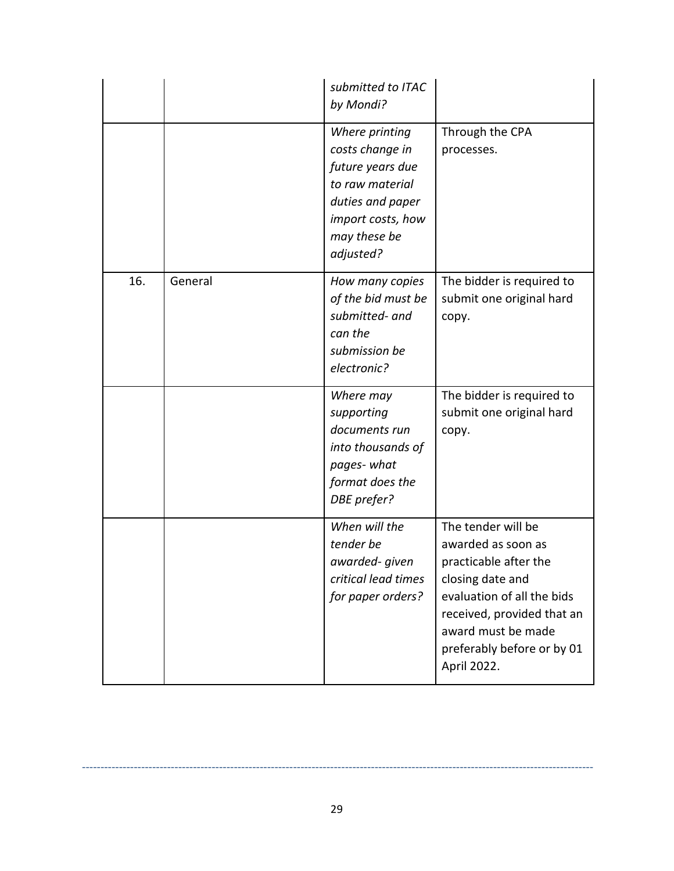|     |         | submitted to ITAC<br>by Mondi?                                                                                                                 |                                                                                                                                                                                                                      |
|-----|---------|------------------------------------------------------------------------------------------------------------------------------------------------|----------------------------------------------------------------------------------------------------------------------------------------------------------------------------------------------------------------------|
|     |         | Where printing<br>costs change in<br>future years due<br>to raw material<br>duties and paper<br>import costs, how<br>may these be<br>adjusted? | Through the CPA<br>processes.                                                                                                                                                                                        |
| 16. | General | How many copies<br>of the bid must be<br>submitted- and<br>can the<br>submission be<br>electronic?                                             | The bidder is required to<br>submit one original hard<br>copy.                                                                                                                                                       |
|     |         | Where may<br>supporting<br>documents run<br>into thousands of<br>pages-what<br>format does the<br>DBE prefer?                                  | The bidder is required to<br>submit one original hard<br>copy.                                                                                                                                                       |
|     |         | When will the<br>tender be<br>awarded- given<br>critical lead times<br>for paper orders?                                                       | The tender will be<br>awarded as soon as<br>practicable after the<br>closing date and<br>evaluation of all the bids<br>received, provided that an<br>award must be made<br>preferably before or by 01<br>April 2022. |

------------------------------------------------------------------------------------------------------------------------------------------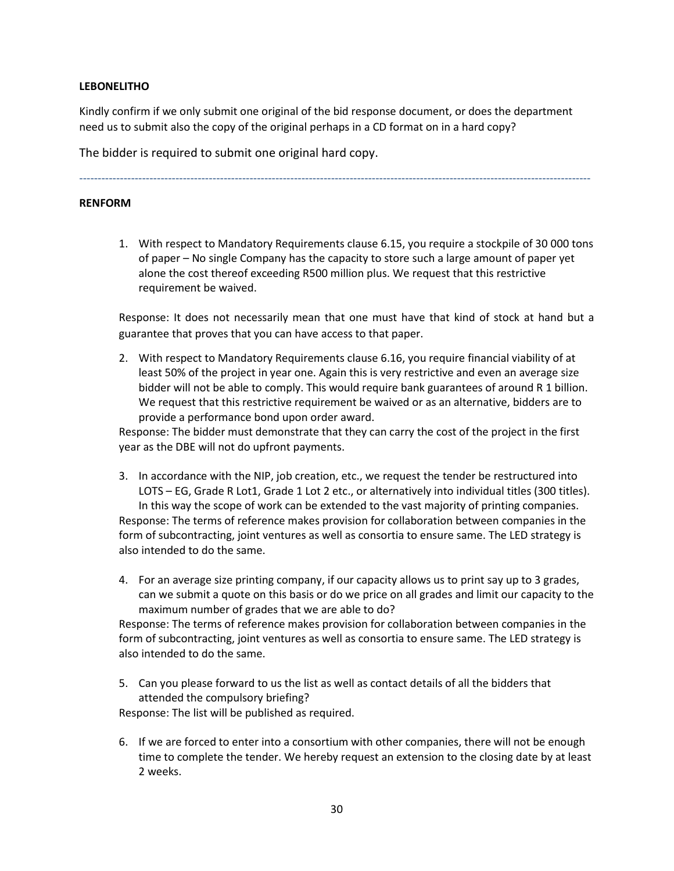## **LEBONELITHO**

Kindly confirm if we only submit one original of the bid response document, or does the department need us to submit also the copy of the original perhaps in a CD format on in a hard copy?

------------------------------------------------------------------------------------------------------------------------------------------

The bidder is required to submit one original hard copy.

### **RENFORM**

1. With respect to Mandatory Requirements clause 6.15, you require a stockpile of 30 000 tons of paper – No single Company has the capacity to store such a large amount of paper yet alone the cost thereof exceeding R500 million plus. We request that this restrictive requirement be waived.

Response: It does not necessarily mean that one must have that kind of stock at hand but a guarantee that proves that you can have access to that paper.

2. With respect to Mandatory Requirements clause 6.16, you require financial viability of at least 50% of the project in year one. Again this is very restrictive and even an average size bidder will not be able to comply. This would require bank guarantees of around R 1 billion. We request that this restrictive requirement be waived or as an alternative, bidders are to provide a performance bond upon order award.

Response: The bidder must demonstrate that they can carry the cost of the project in the first year as the DBE will not do upfront payments.

- 3. In accordance with the NIP, job creation, etc., we request the tender be restructured into LOTS – EG, Grade R Lot1, Grade 1 Lot 2 etc., or alternatively into individual titles (300 titles). In this way the scope of work can be extended to the vast majority of printing companies. Response: The terms of reference makes provision for collaboration between companies in the form of subcontracting, joint ventures as well as consortia to ensure same. The LED strategy is also intended to do the same.
- 4. For an average size printing company, if our capacity allows us to print say up to 3 grades, can we submit a quote on this basis or do we price on all grades and limit our capacity to the maximum number of grades that we are able to do?

Response: The terms of reference makes provision for collaboration between companies in the form of subcontracting, joint ventures as well as consortia to ensure same. The LED strategy is also intended to do the same.

5. Can you please forward to us the list as well as contact details of all the bidders that attended the compulsory briefing?

Response: The list will be published as required.

6. If we are forced to enter into a consortium with other companies, there will not be enough time to complete the tender. We hereby request an extension to the closing date by at least 2 weeks.